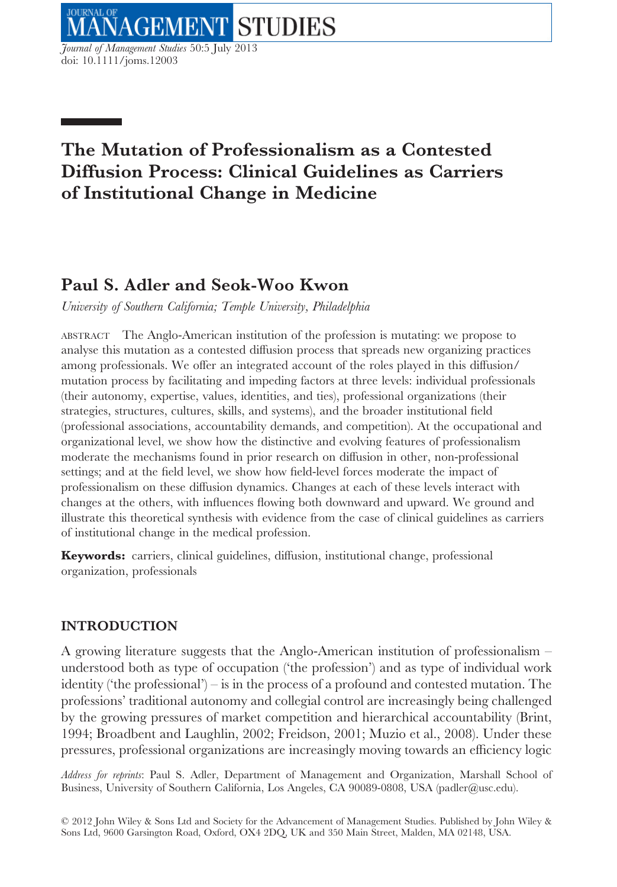JOURNAL OF **STUDIES** 

*Journal of Management Studies* 50:5 July 2013 doi: 10.1111/joms.12003

# **The Mutation of Professionalism as a Contested Diffusion Process: Clinical Guidelines as Carriers of Institutional Change in Medicine**

# **Paul S. Adler and Seok-Woo Kwon**

*University of Southern California; Temple University, Philadelphia*

ABSTRACT The Anglo-American institution of the profession is mutating: we propose to analyse this mutation as a contested diffusion process that spreads new organizing practices among professionals. We offer an integrated account of the roles played in this diffusion/ mutation process by facilitating and impeding factors at three levels: individual professionals (their autonomy, expertise, values, identities, and ties), professional organizations (their strategies, structures, cultures, skills, and systems), and the broader institutional field (professional associations, accountability demands, and competition). At the occupational and organizational level, we show how the distinctive and evolving features of professionalism moderate the mechanisms found in prior research on diffusion in other, non-professional settings; and at the field level, we show how field-level forces moderate the impact of professionalism on these diffusion dynamics. Changes at each of these levels interact with changes at the others, with influences flowing both downward and upward. We ground and illustrate this theoretical synthesis with evidence from the case of clinical guidelines as carriers of institutional change in the medical profession.

**Keywords:** carriers, clinical guidelines, diffusion, institutional change, professional organization, professionals

## **INTRODUCTION**

A growing literature suggests that the Anglo-American institution of professionalism – understood both as type of occupation ('the profession') and as type of individual work identity ('the professional') – is in the process of a profound and contested mutation. The professions' traditional autonomy and collegial control are increasingly being challenged by the growing pressures of market competition and hierarchical accountability (Brint, 1994; Broadbent and Laughlin, 2002; Freidson, 2001; Muzio et al., 2008). Under these pressures, professional organizations are increasingly moving towards an efficiency logic

*Address for reprints*: Paul S. Adler, Department of Management and Organization, Marshall School of Business, University of Southern California, Los Angeles, CA 90089-0808, USA (padler@usc.edu).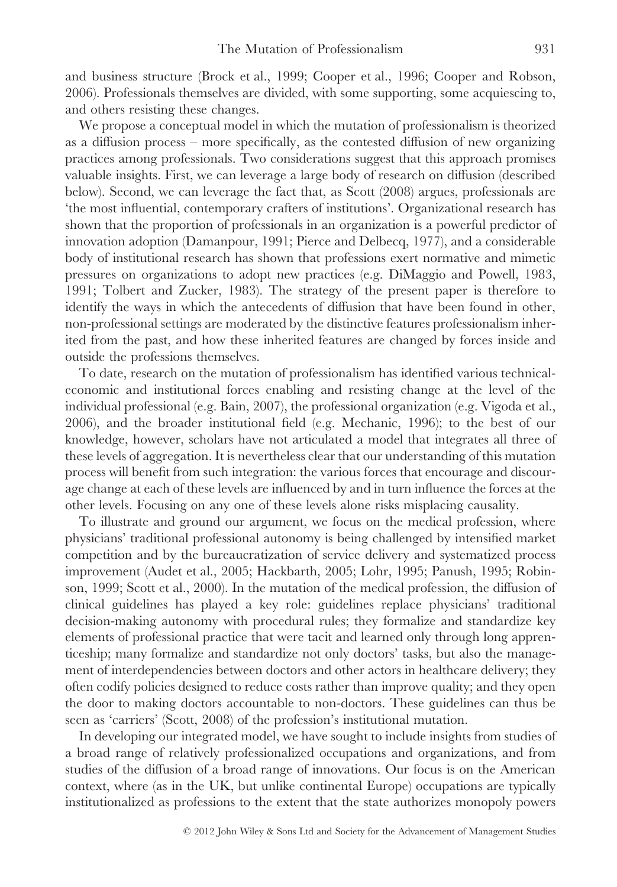and business structure (Brock et al., 1999; Cooper et al., 1996; Cooper and Robson, 2006). Professionals themselves are divided, with some supporting, some acquiescing to, and others resisting these changes.

We propose a conceptual model in which the mutation of professionalism is theorized as a diffusion process – more specifically, as the contested diffusion of new organizing practices among professionals. Two considerations suggest that this approach promises valuable insights. First, we can leverage a large body of research on diffusion (described below). Second, we can leverage the fact that, as Scott (2008) argues, professionals are 'the most influential, contemporary crafters of institutions'. Organizational research has shown that the proportion of professionals in an organization is a powerful predictor of innovation adoption (Damanpour, 1991; Pierce and Delbecq, 1977), and a considerable body of institutional research has shown that professions exert normative and mimetic pressures on organizations to adopt new practices (e.g. DiMaggio and Powell, 1983, 1991; Tolbert and Zucker, 1983). The strategy of the present paper is therefore to identify the ways in which the antecedents of diffusion that have been found in other, non-professional settings are moderated by the distinctive features professionalism inherited from the past, and how these inherited features are changed by forces inside and outside the professions themselves.

To date, research on the mutation of professionalism has identified various technicaleconomic and institutional forces enabling and resisting change at the level of the individual professional (e.g. Bain, 2007), the professional organization (e.g. Vigoda et al., 2006), and the broader institutional field (e.g. Mechanic, 1996); to the best of our knowledge, however, scholars have not articulated a model that integrates all three of these levels of aggregation. It is nevertheless clear that our understanding of this mutation process will benefit from such integration: the various forces that encourage and discourage change at each of these levels are influenced by and in turn influence the forces at the other levels. Focusing on any one of these levels alone risks misplacing causality.

To illustrate and ground our argument, we focus on the medical profession, where physicians' traditional professional autonomy is being challenged by intensified market competition and by the bureaucratization of service delivery and systematized process improvement (Audet et al., 2005; Hackbarth, 2005; Lohr, 1995; Panush, 1995; Robinson, 1999; Scott et al., 2000). In the mutation of the medical profession, the diffusion of clinical guidelines has played a key role: guidelines replace physicians' traditional decision-making autonomy with procedural rules; they formalize and standardize key elements of professional practice that were tacit and learned only through long apprenticeship; many formalize and standardize not only doctors' tasks, but also the management of interdependencies between doctors and other actors in healthcare delivery; they often codify policies designed to reduce costs rather than improve quality; and they open the door to making doctors accountable to non-doctors. These guidelines can thus be seen as 'carriers' (Scott, 2008) of the profession's institutional mutation.

In developing our integrated model, we have sought to include insights from studies of a broad range of relatively professionalized occupations and organizations, and from studies of the diffusion of a broad range of innovations. Our focus is on the American context, where (as in the UK, but unlike continental Europe) occupations are typically institutionalized as professions to the extent that the state authorizes monopoly powers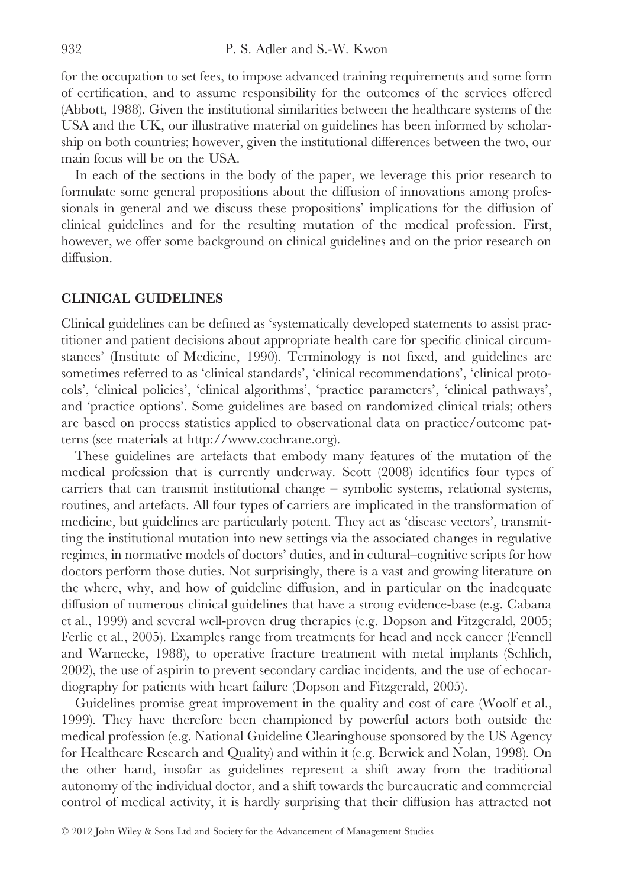for the occupation to set fees, to impose advanced training requirements and some form of certification, and to assume responsibility for the outcomes of the services offered (Abbott, 1988). Given the institutional similarities between the healthcare systems of the USA and the UK, our illustrative material on guidelines has been informed by scholarship on both countries; however, given the institutional differences between the two, our main focus will be on the USA.

In each of the sections in the body of the paper, we leverage this prior research to formulate some general propositions about the diffusion of innovations among professionals in general and we discuss these propositions' implications for the diffusion of clinical guidelines and for the resulting mutation of the medical profession. First, however, we offer some background on clinical guidelines and on the prior research on diffusion.

#### **CLINICAL GUIDELINES**

Clinical guidelines can be defined as 'systematically developed statements to assist practitioner and patient decisions about appropriate health care for specific clinical circumstances' (Institute of Medicine, 1990). Terminology is not fixed, and guidelines are sometimes referred to as 'clinical standards', 'clinical recommendations', 'clinical protocols', 'clinical policies', 'clinical algorithms', 'practice parameters', 'clinical pathways', and 'practice options'. Some guidelines are based on randomized clinical trials; others are based on process statistics applied to observational data on practice/outcome patterns (see materials at http://www.cochrane.org).

These guidelines are artefacts that embody many features of the mutation of the medical profession that is currently underway. Scott (2008) identifies four types of carriers that can transmit institutional change – symbolic systems, relational systems, routines, and artefacts. All four types of carriers are implicated in the transformation of medicine, but guidelines are particularly potent. They act as 'disease vectors', transmitting the institutional mutation into new settings via the associated changes in regulative regimes, in normative models of doctors' duties, and in cultural–cognitive scripts for how doctors perform those duties. Not surprisingly, there is a vast and growing literature on the where, why, and how of guideline diffusion, and in particular on the inadequate diffusion of numerous clinical guidelines that have a strong evidence-base (e.g. Cabana et al., 1999) and several well-proven drug therapies (e.g. Dopson and Fitzgerald, 2005; Ferlie et al., 2005). Examples range from treatments for head and neck cancer (Fennell and Warnecke, 1988), to operative fracture treatment with metal implants (Schlich, 2002), the use of aspirin to prevent secondary cardiac incidents, and the use of echocardiography for patients with heart failure (Dopson and Fitzgerald, 2005).

Guidelines promise great improvement in the quality and cost of care (Woolf et al., 1999). They have therefore been championed by powerful actors both outside the medical profession (e.g. National Guideline Clearinghouse sponsored by the US Agency for Healthcare Research and Quality) and within it (e.g. Berwick and Nolan, 1998). On the other hand, insofar as guidelines represent a shift away from the traditional autonomy of the individual doctor, and a shift towards the bureaucratic and commercial control of medical activity, it is hardly surprising that their diffusion has attracted not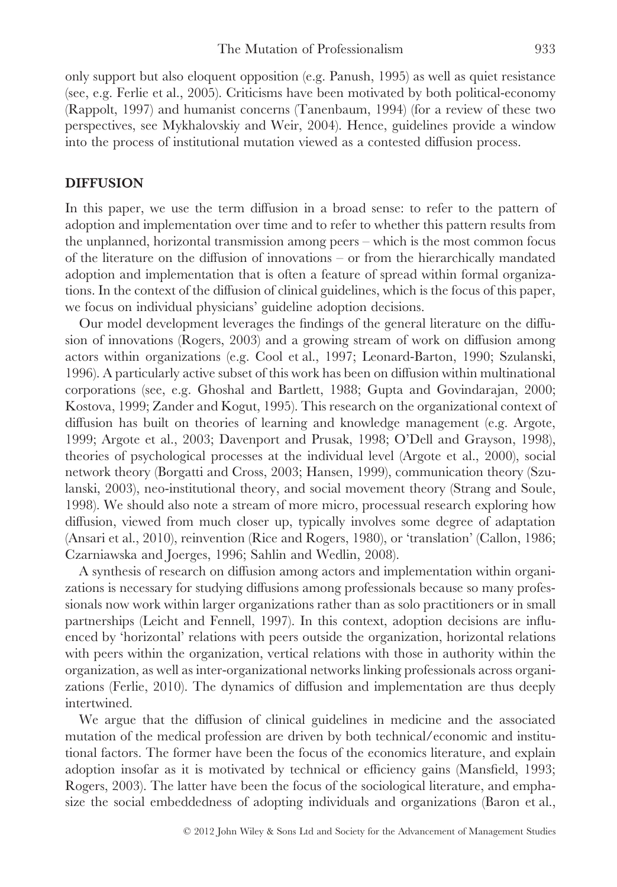only support but also eloquent opposition (e.g. Panush, 1995) as well as quiet resistance (see, e.g. Ferlie et al., 2005). Criticisms have been motivated by both political-economy (Rappolt, 1997) and humanist concerns (Tanenbaum, 1994) (for a review of these two perspectives, see Mykhalovskiy and Weir, 2004). Hence, guidelines provide a window into the process of institutional mutation viewed as a contested diffusion process.

### **DIFFUSION**

In this paper, we use the term diffusion in a broad sense: to refer to the pattern of adoption and implementation over time and to refer to whether this pattern results from the unplanned, horizontal transmission among peers – which is the most common focus of the literature on the diffusion of innovations – or from the hierarchically mandated adoption and implementation that is often a feature of spread within formal organizations. In the context of the diffusion of clinical guidelines, which is the focus of this paper, we focus on individual physicians' guideline adoption decisions.

Our model development leverages the findings of the general literature on the diffusion of innovations (Rogers, 2003) and a growing stream of work on diffusion among actors within organizations (e.g. Cool et al., 1997; Leonard-Barton, 1990; Szulanski, 1996). A particularly active subset of this work has been on diffusion within multinational corporations (see, e.g. Ghoshal and Bartlett, 1988; Gupta and Govindarajan, 2000; Kostova, 1999; Zander and Kogut, 1995). This research on the organizational context of diffusion has built on theories of learning and knowledge management (e.g. Argote, 1999; Argote et al., 2003; Davenport and Prusak, 1998; O'Dell and Grayson, 1998), theories of psychological processes at the individual level (Argote et al., 2000), social network theory (Borgatti and Cross, 2003; Hansen, 1999), communication theory (Szulanski, 2003), neo-institutional theory, and social movement theory (Strang and Soule, 1998). We should also note a stream of more micro, processual research exploring how diffusion, viewed from much closer up, typically involves some degree of adaptation (Ansari et al., 2010), reinvention (Rice and Rogers, 1980), or 'translation' (Callon, 1986; Czarniawska and Joerges, 1996; Sahlin and Wedlin, 2008).

A synthesis of research on diffusion among actors and implementation within organizations is necessary for studying diffusions among professionals because so many professionals now work within larger organizations rather than as solo practitioners or in small partnerships (Leicht and Fennell, 1997). In this context, adoption decisions are influenced by 'horizontal' relations with peers outside the organization, horizontal relations with peers within the organization, vertical relations with those in authority within the organization, as well as inter-organizational networks linking professionals across organizations (Ferlie, 2010). The dynamics of diffusion and implementation are thus deeply intertwined.

We argue that the diffusion of clinical guidelines in medicine and the associated mutation of the medical profession are driven by both technical/economic and institutional factors. The former have been the focus of the economics literature, and explain adoption insofar as it is motivated by technical or efficiency gains (Mansfield, 1993; Rogers, 2003). The latter have been the focus of the sociological literature, and emphasize the social embeddedness of adopting individuals and organizations (Baron et al.,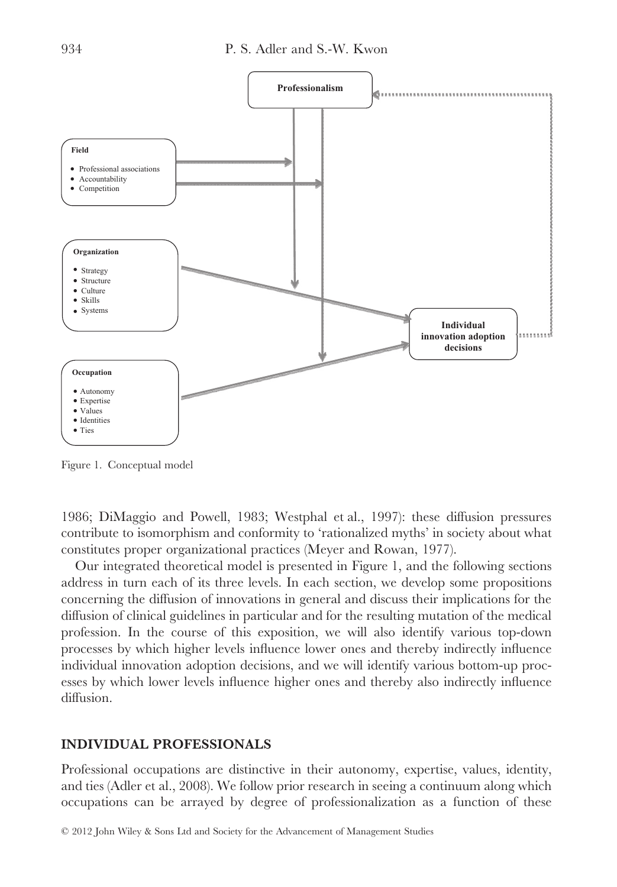

Figure 1. Conceptual model

1986; DiMaggio and Powell, 1983; Westphal et al., 1997): these diffusion pressures contribute to isomorphism and conformity to 'rationalized myths' in society about what constitutes proper organizational practices (Meyer and Rowan, 1977).

Our integrated theoretical model is presented in Figure 1, and the following sections address in turn each of its three levels. In each section, we develop some propositions concerning the diffusion of innovations in general and discuss their implications for the diffusion of clinical guidelines in particular and for the resulting mutation of the medical profession. In the course of this exposition, we will also identify various top-down processes by which higher levels influence lower ones and thereby indirectly influence individual innovation adoption decisions, and we will identify various bottom-up processes by which lower levels influence higher ones and thereby also indirectly influence diffusion.

## **INDIVIDUAL PROFESSIONALS**

Professional occupations are distinctive in their autonomy, expertise, values, identity, and ties (Adler et al., 2008). We follow prior research in seeing a continuum along which occupations can be arrayed by degree of professionalization as a function of these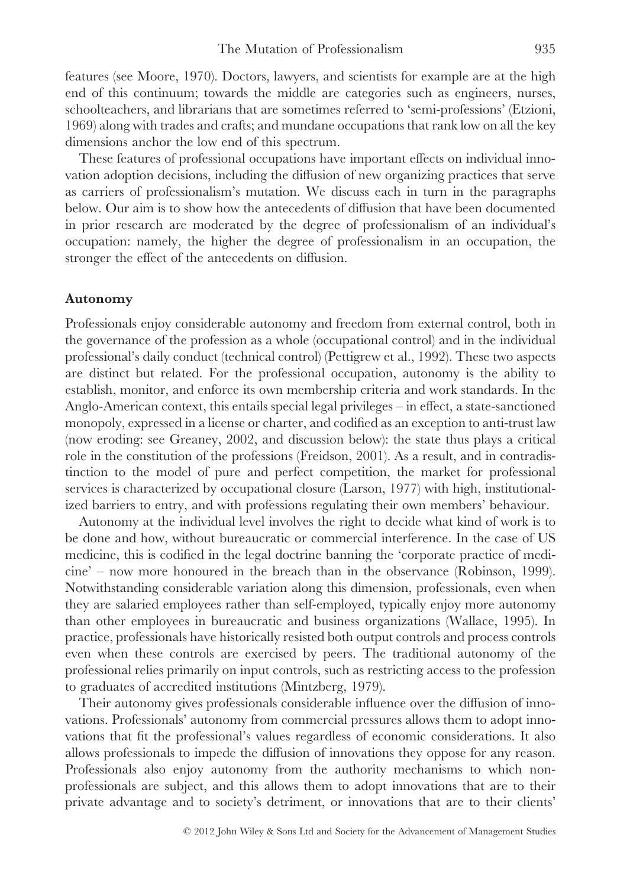features (see Moore, 1970). Doctors, lawyers, and scientists for example are at the high end of this continuum; towards the middle are categories such as engineers, nurses, schoolteachers, and librarians that are sometimes referred to 'semi-professions' (Etzioni, 1969) along with trades and crafts; and mundane occupations that rank low on all the key dimensions anchor the low end of this spectrum.

These features of professional occupations have important effects on individual innovation adoption decisions, including the diffusion of new organizing practices that serve as carriers of professionalism's mutation. We discuss each in turn in the paragraphs below. Our aim is to show how the antecedents of diffusion that have been documented in prior research are moderated by the degree of professionalism of an individual's occupation: namely, the higher the degree of professionalism in an occupation, the stronger the effect of the antecedents on diffusion.

#### **Autonomy**

Professionals enjoy considerable autonomy and freedom from external control, both in the governance of the profession as a whole (occupational control) and in the individual professional's daily conduct (technical control) (Pettigrew et al., 1992). These two aspects are distinct but related. For the professional occupation, autonomy is the ability to establish, monitor, and enforce its own membership criteria and work standards. In the Anglo-American context, this entails special legal privileges – in effect, a state-sanctioned monopoly, expressed in a license or charter, and codified as an exception to anti-trust law (now eroding: see Greaney, 2002, and discussion below): the state thus plays a critical role in the constitution of the professions (Freidson, 2001). As a result, and in contradistinction to the model of pure and perfect competition, the market for professional services is characterized by occupational closure (Larson, 1977) with high, institutionalized barriers to entry, and with professions regulating their own members' behaviour.

Autonomy at the individual level involves the right to decide what kind of work is to be done and how, without bureaucratic or commercial interference. In the case of US medicine, this is codified in the legal doctrine banning the 'corporate practice of medicine' – now more honoured in the breach than in the observance (Robinson, 1999). Notwithstanding considerable variation along this dimension, professionals, even when they are salaried employees rather than self-employed, typically enjoy more autonomy than other employees in bureaucratic and business organizations (Wallace, 1995). In practice, professionals have historically resisted both output controls and process controls even when these controls are exercised by peers. The traditional autonomy of the professional relies primarily on input controls, such as restricting access to the profession to graduates of accredited institutions (Mintzberg, 1979).

Their autonomy gives professionals considerable influence over the diffusion of innovations. Professionals' autonomy from commercial pressures allows them to adopt innovations that fit the professional's values regardless of economic considerations. It also allows professionals to impede the diffusion of innovations they oppose for any reason. Professionals also enjoy autonomy from the authority mechanisms to which nonprofessionals are subject, and this allows them to adopt innovations that are to their private advantage and to society's detriment, or innovations that are to their clients'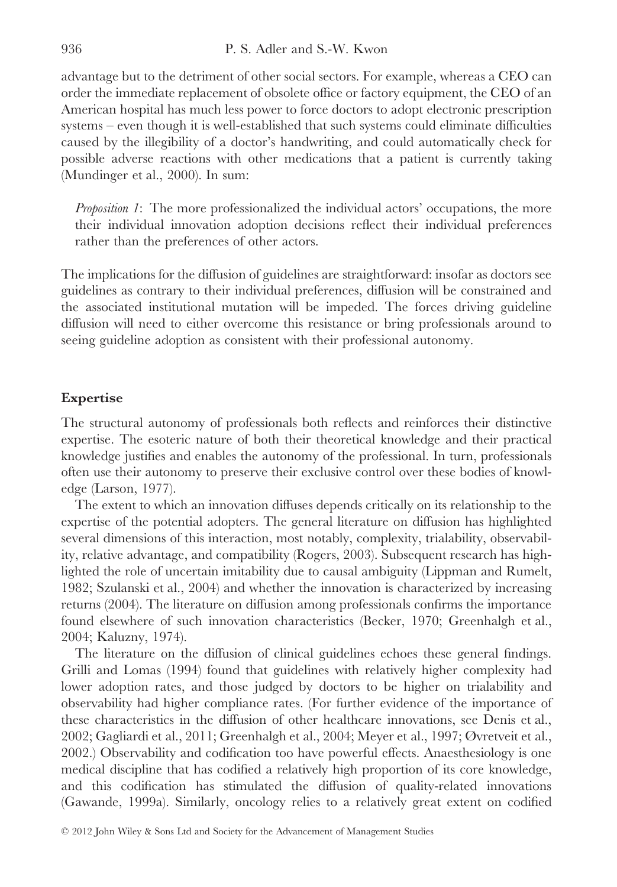advantage but to the detriment of other social sectors. For example, whereas a CEO can order the immediate replacement of obsolete office or factory equipment, the CEO of an American hospital has much less power to force doctors to adopt electronic prescription systems – even though it is well-established that such systems could eliminate difficulties caused by the illegibility of a doctor's handwriting, and could automatically check for possible adverse reactions with other medications that a patient is currently taking (Mundinger et al., 2000). In sum:

*Proposition 1*: The more professionalized the individual actors' occupations, the more their individual innovation adoption decisions reflect their individual preferences rather than the preferences of other actors.

The implications for the diffusion of guidelines are straightforward: insofar as doctors see guidelines as contrary to their individual preferences, diffusion will be constrained and the associated institutional mutation will be impeded. The forces driving guideline diffusion will need to either overcome this resistance or bring professionals around to seeing guideline adoption as consistent with their professional autonomy.

## **Expertise**

The structural autonomy of professionals both reflects and reinforces their distinctive expertise. The esoteric nature of both their theoretical knowledge and their practical knowledge justifies and enables the autonomy of the professional. In turn, professionals often use their autonomy to preserve their exclusive control over these bodies of knowledge (Larson, 1977).

The extent to which an innovation diffuses depends critically on its relationship to the expertise of the potential adopters. The general literature on diffusion has highlighted several dimensions of this interaction, most notably, complexity, trialability, observability, relative advantage, and compatibility (Rogers, 2003). Subsequent research has highlighted the role of uncertain imitability due to causal ambiguity (Lippman and Rumelt, 1982; Szulanski et al., 2004) and whether the innovation is characterized by increasing returns (2004). The literature on diffusion among professionals confirms the importance found elsewhere of such innovation characteristics (Becker, 1970; Greenhalgh et al., 2004; Kaluzny, 1974).

The literature on the diffusion of clinical guidelines echoes these general findings. Grilli and Lomas (1994) found that guidelines with relatively higher complexity had lower adoption rates, and those judged by doctors to be higher on trialability and observability had higher compliance rates. (For further evidence of the importance of these characteristics in the diffusion of other healthcare innovations, see Denis et al., 2002; Gagliardi et al., 2011; Greenhalgh et al., 2004; Meyer et al., 1997; Øvretveit et al., 2002.) Observability and codification too have powerful effects. Anaesthesiology is one medical discipline that has codified a relatively high proportion of its core knowledge, and this codification has stimulated the diffusion of quality-related innovations (Gawande, 1999a). Similarly, oncology relies to a relatively great extent on codified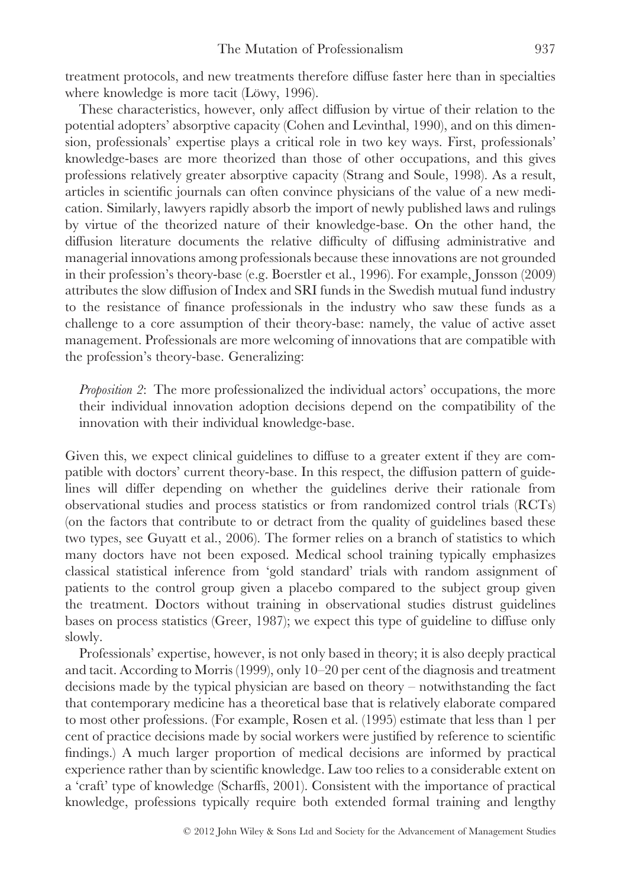treatment protocols, and new treatments therefore diffuse faster here than in specialties where knowledge is more tacit (Löwy, 1996).

These characteristics, however, only affect diffusion by virtue of their relation to the potential adopters' absorptive capacity (Cohen and Levinthal, 1990), and on this dimension, professionals' expertise plays a critical role in two key ways. First, professionals' knowledge-bases are more theorized than those of other occupations, and this gives professions relatively greater absorptive capacity (Strang and Soule, 1998). As a result, articles in scientific journals can often convince physicians of the value of a new medication. Similarly, lawyers rapidly absorb the import of newly published laws and rulings by virtue of the theorized nature of their knowledge-base. On the other hand, the diffusion literature documents the relative difficulty of diffusing administrative and managerial innovations among professionals because these innovations are not grounded in their profession's theory-base (e.g. Boerstler et al., 1996). For example, Jonsson (2009) attributes the slow diffusion of Index and SRI funds in the Swedish mutual fund industry to the resistance of finance professionals in the industry who saw these funds as a challenge to a core assumption of their theory-base: namely, the value of active asset management. Professionals are more welcoming of innovations that are compatible with the profession's theory-base. Generalizing:

*Proposition 2*: The more professionalized the individual actors' occupations, the more their individual innovation adoption decisions depend on the compatibility of the innovation with their individual knowledge-base.

Given this, we expect clinical guidelines to diffuse to a greater extent if they are compatible with doctors' current theory-base. In this respect, the diffusion pattern of guidelines will differ depending on whether the guidelines derive their rationale from observational studies and process statistics or from randomized control trials (RCTs) (on the factors that contribute to or detract from the quality of guidelines based these two types, see Guyatt et al., 2006). The former relies on a branch of statistics to which many doctors have not been exposed. Medical school training typically emphasizes classical statistical inference from 'gold standard' trials with random assignment of patients to the control group given a placebo compared to the subject group given the treatment. Doctors without training in observational studies distrust guidelines bases on process statistics (Greer, 1987); we expect this type of guideline to diffuse only slowly.

Professionals' expertise, however, is not only based in theory; it is also deeply practical and tacit. According to Morris (1999), only 10–20 per cent of the diagnosis and treatment decisions made by the typical physician are based on theory – notwithstanding the fact that contemporary medicine has a theoretical base that is relatively elaborate compared to most other professions. (For example, Rosen et al. (1995) estimate that less than 1 per cent of practice decisions made by social workers were justified by reference to scientific findings.) A much larger proportion of medical decisions are informed by practical experience rather than by scientific knowledge. Law too relies to a considerable extent on a 'craft' type of knowledge (Scharffs, 2001). Consistent with the importance of practical knowledge, professions typically require both extended formal training and lengthy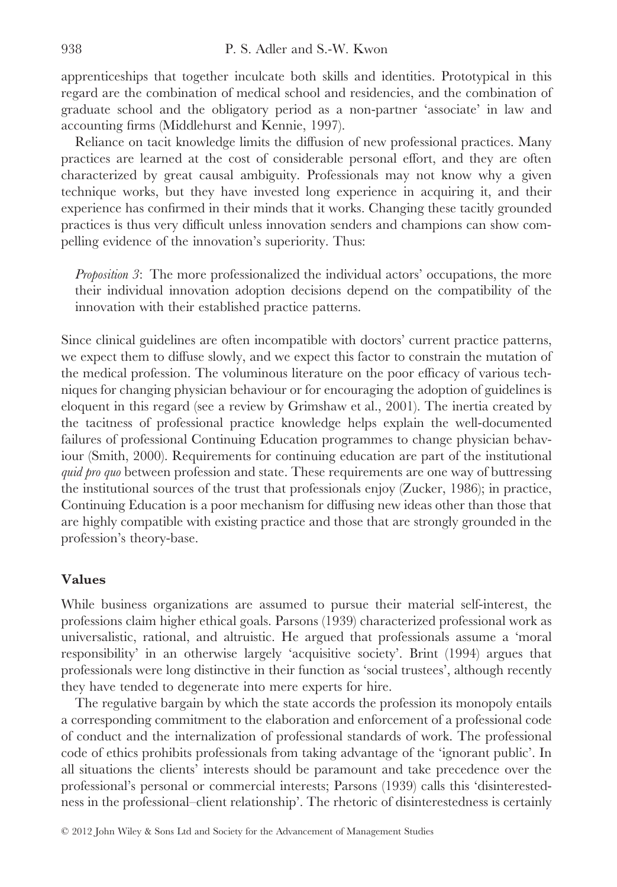apprenticeships that together inculcate both skills and identities. Prototypical in this regard are the combination of medical school and residencies, and the combination of graduate school and the obligatory period as a non-partner 'associate' in law and accounting firms (Middlehurst and Kennie, 1997).

Reliance on tacit knowledge limits the diffusion of new professional practices. Many practices are learned at the cost of considerable personal effort, and they are often characterized by great causal ambiguity. Professionals may not know why a given technique works, but they have invested long experience in acquiring it, and their experience has confirmed in their minds that it works. Changing these tacitly grounded practices is thus very difficult unless innovation senders and champions can show compelling evidence of the innovation's superiority. Thus:

*Proposition 3*: The more professionalized the individual actors' occupations, the more their individual innovation adoption decisions depend on the compatibility of the innovation with their established practice patterns.

Since clinical guidelines are often incompatible with doctors' current practice patterns, we expect them to diffuse slowly, and we expect this factor to constrain the mutation of the medical profession. The voluminous literature on the poor efficacy of various techniques for changing physician behaviour or for encouraging the adoption of guidelines is eloquent in this regard (see a review by Grimshaw et al., 2001). The inertia created by the tacitness of professional practice knowledge helps explain the well-documented failures of professional Continuing Education programmes to change physician behaviour (Smith, 2000). Requirements for continuing education are part of the institutional *quid pro quo* between profession and state. These requirements are one way of buttressing the institutional sources of the trust that professionals enjoy (Zucker, 1986); in practice, Continuing Education is a poor mechanism for diffusing new ideas other than those that are highly compatible with existing practice and those that are strongly grounded in the profession's theory-base.

## **Values**

While business organizations are assumed to pursue their material self-interest, the professions claim higher ethical goals. Parsons (1939) characterized professional work as universalistic, rational, and altruistic. He argued that professionals assume a 'moral responsibility' in an otherwise largely 'acquisitive society'. Brint (1994) argues that professionals were long distinctive in their function as 'social trustees', although recently they have tended to degenerate into mere experts for hire.

The regulative bargain by which the state accords the profession its monopoly entails a corresponding commitment to the elaboration and enforcement of a professional code of conduct and the internalization of professional standards of work. The professional code of ethics prohibits professionals from taking advantage of the 'ignorant public'. In all situations the clients' interests should be paramount and take precedence over the professional's personal or commercial interests; Parsons (1939) calls this 'disinterestedness in the professional–client relationship'. The rhetoric of disinterestedness is certainly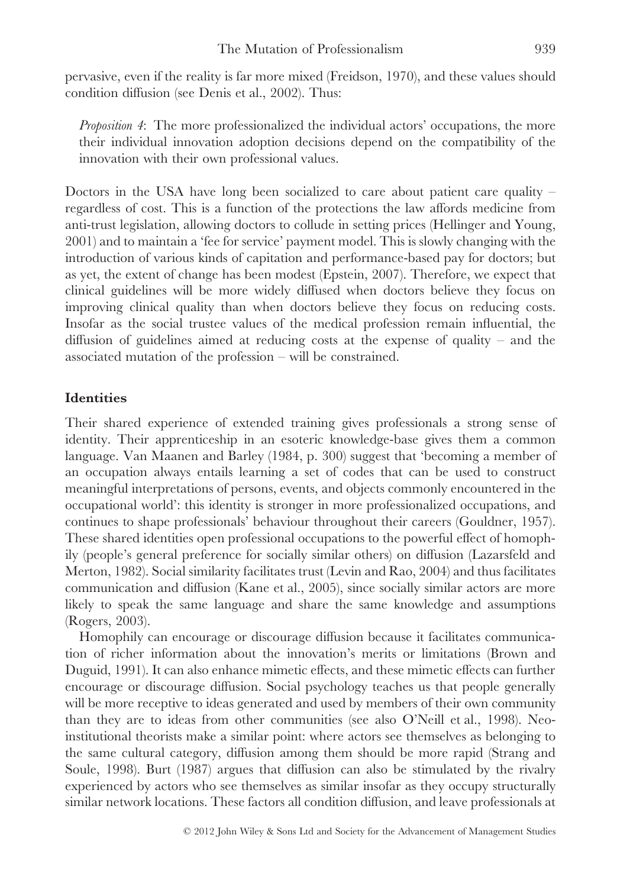pervasive, even if the reality is far more mixed (Freidson, 1970), and these values should condition diffusion (see Denis et al., 2002). Thus:

*Proposition 4*: The more professionalized the individual actors' occupations, the more their individual innovation adoption decisions depend on the compatibility of the innovation with their own professional values.

Doctors in the USA have long been socialized to care about patient care quality – regardless of cost. This is a function of the protections the law affords medicine from anti-trust legislation, allowing doctors to collude in setting prices (Hellinger and Young, 2001) and to maintain a 'fee for service' payment model. This is slowly changing with the introduction of various kinds of capitation and performance-based pay for doctors; but as yet, the extent of change has been modest (Epstein, 2007). Therefore, we expect that clinical guidelines will be more widely diffused when doctors believe they focus on improving clinical quality than when doctors believe they focus on reducing costs. Insofar as the social trustee values of the medical profession remain influential, the diffusion of guidelines aimed at reducing costs at the expense of quality – and the associated mutation of the profession – will be constrained.

## **Identities**

Their shared experience of extended training gives professionals a strong sense of identity. Their apprenticeship in an esoteric knowledge-base gives them a common language. Van Maanen and Barley (1984, p. 300) suggest that 'becoming a member of an occupation always entails learning a set of codes that can be used to construct meaningful interpretations of persons, events, and objects commonly encountered in the occupational world': this identity is stronger in more professionalized occupations, and continues to shape professionals' behaviour throughout their careers (Gouldner, 1957). These shared identities open professional occupations to the powerful effect of homophily (people's general preference for socially similar others) on diffusion (Lazarsfeld and Merton, 1982). Social similarity facilitates trust (Levin and Rao, 2004) and thus facilitates communication and diffusion (Kane et al., 2005), since socially similar actors are more likely to speak the same language and share the same knowledge and assumptions (Rogers, 2003).

Homophily can encourage or discourage diffusion because it facilitates communication of richer information about the innovation's merits or limitations (Brown and Duguid, 1991). It can also enhance mimetic effects, and these mimetic effects can further encourage or discourage diffusion. Social psychology teaches us that people generally will be more receptive to ideas generated and used by members of their own community than they are to ideas from other communities (see also O'Neill et al., 1998). Neoinstitutional theorists make a similar point: where actors see themselves as belonging to the same cultural category, diffusion among them should be more rapid (Strang and Soule, 1998). Burt (1987) argues that diffusion can also be stimulated by the rivalry experienced by actors who see themselves as similar insofar as they occupy structurally similar network locations. These factors all condition diffusion, and leave professionals at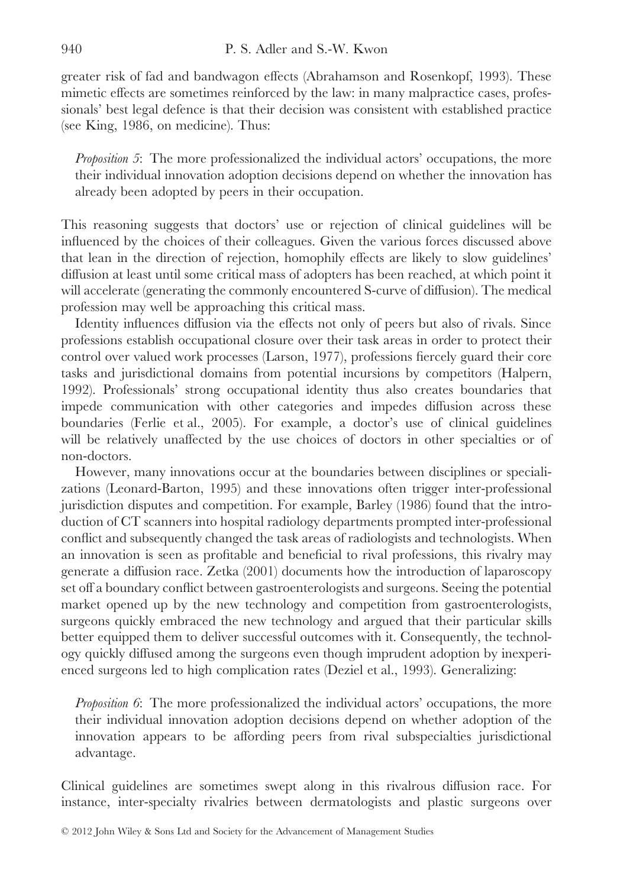greater risk of fad and bandwagon effects (Abrahamson and Rosenkopf, 1993). These mimetic effects are sometimes reinforced by the law: in many malpractice cases, professionals' best legal defence is that their decision was consistent with established practice (see King, 1986, on medicine). Thus:

*Proposition 5*: The more professionalized the individual actors' occupations, the more their individual innovation adoption decisions depend on whether the innovation has already been adopted by peers in their occupation.

This reasoning suggests that doctors' use or rejection of clinical guidelines will be influenced by the choices of their colleagues. Given the various forces discussed above that lean in the direction of rejection, homophily effects are likely to slow guidelines' diffusion at least until some critical mass of adopters has been reached, at which point it will accelerate (generating the commonly encountered S-curve of diffusion). The medical profession may well be approaching this critical mass.

Identity influences diffusion via the effects not only of peers but also of rivals. Since professions establish occupational closure over their task areas in order to protect their control over valued work processes (Larson, 1977), professions fiercely guard their core tasks and jurisdictional domains from potential incursions by competitors (Halpern, 1992). Professionals' strong occupational identity thus also creates boundaries that impede communication with other categories and impedes diffusion across these boundaries (Ferlie et al., 2005). For example, a doctor's use of clinical guidelines will be relatively unaffected by the use choices of doctors in other specialties or of non-doctors.

However, many innovations occur at the boundaries between disciplines or specializations (Leonard-Barton, 1995) and these innovations often trigger inter-professional jurisdiction disputes and competition. For example, Barley (1986) found that the introduction of CT scanners into hospital radiology departments prompted inter-professional conflict and subsequently changed the task areas of radiologists and technologists. When an innovation is seen as profitable and beneficial to rival professions, this rivalry may generate a diffusion race. Zetka (2001) documents how the introduction of laparoscopy set off a boundary conflict between gastroenterologists and surgeons. Seeing the potential market opened up by the new technology and competition from gastroenterologists, surgeons quickly embraced the new technology and argued that their particular skills better equipped them to deliver successful outcomes with it. Consequently, the technology quickly diffused among the surgeons even though imprudent adoption by inexperienced surgeons led to high complication rates (Deziel et al., 1993). Generalizing:

*Proposition 6*: The more professionalized the individual actors' occupations, the more their individual innovation adoption decisions depend on whether adoption of the innovation appears to be affording peers from rival subspecialties jurisdictional advantage.

Clinical guidelines are sometimes swept along in this rivalrous diffusion race. For instance, inter-specialty rivalries between dermatologists and plastic surgeons over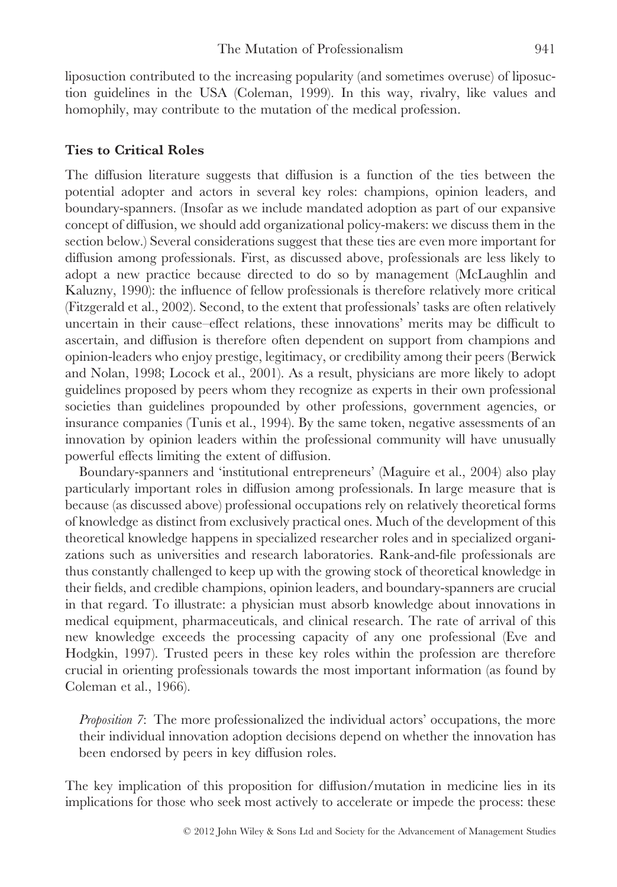liposuction contributed to the increasing popularity (and sometimes overuse) of liposuction guidelines in the USA (Coleman, 1999). In this way, rivalry, like values and homophily, may contribute to the mutation of the medical profession.

#### **Ties to Critical Roles**

The diffusion literature suggests that diffusion is a function of the ties between the potential adopter and actors in several key roles: champions, opinion leaders, and boundary-spanners. (Insofar as we include mandated adoption as part of our expansive concept of diffusion, we should add organizational policy-makers: we discuss them in the section below.) Several considerations suggest that these ties are even more important for diffusion among professionals. First, as discussed above, professionals are less likely to adopt a new practice because directed to do so by management (McLaughlin and Kaluzny, 1990): the influence of fellow professionals is therefore relatively more critical (Fitzgerald et al., 2002). Second, to the extent that professionals' tasks are often relatively uncertain in their cause–effect relations, these innovations' merits may be difficult to ascertain, and diffusion is therefore often dependent on support from champions and opinion-leaders who enjoy prestige, legitimacy, or credibility among their peers (Berwick and Nolan, 1998; Locock et al., 2001). As a result, physicians are more likely to adopt guidelines proposed by peers whom they recognize as experts in their own professional societies than guidelines propounded by other professions, government agencies, or insurance companies (Tunis et al., 1994). By the same token, negative assessments of an innovation by opinion leaders within the professional community will have unusually powerful effects limiting the extent of diffusion.

Boundary-spanners and 'institutional entrepreneurs' (Maguire et al., 2004) also play particularly important roles in diffusion among professionals. In large measure that is because (as discussed above) professional occupations rely on relatively theoretical forms of knowledge as distinct from exclusively practical ones. Much of the development of this theoretical knowledge happens in specialized researcher roles and in specialized organizations such as universities and research laboratories. Rank-and-file professionals are thus constantly challenged to keep up with the growing stock of theoretical knowledge in their fields, and credible champions, opinion leaders, and boundary-spanners are crucial in that regard. To illustrate: a physician must absorb knowledge about innovations in medical equipment, pharmaceuticals, and clinical research. The rate of arrival of this new knowledge exceeds the processing capacity of any one professional (Eve and Hodgkin, 1997). Trusted peers in these key roles within the profession are therefore crucial in orienting professionals towards the most important information (as found by Coleman et al., 1966).

*Proposition 7*: The more professionalized the individual actors' occupations, the more their individual innovation adoption decisions depend on whether the innovation has been endorsed by peers in key diffusion roles.

The key implication of this proposition for diffusion/mutation in medicine lies in its implications for those who seek most actively to accelerate or impede the process: these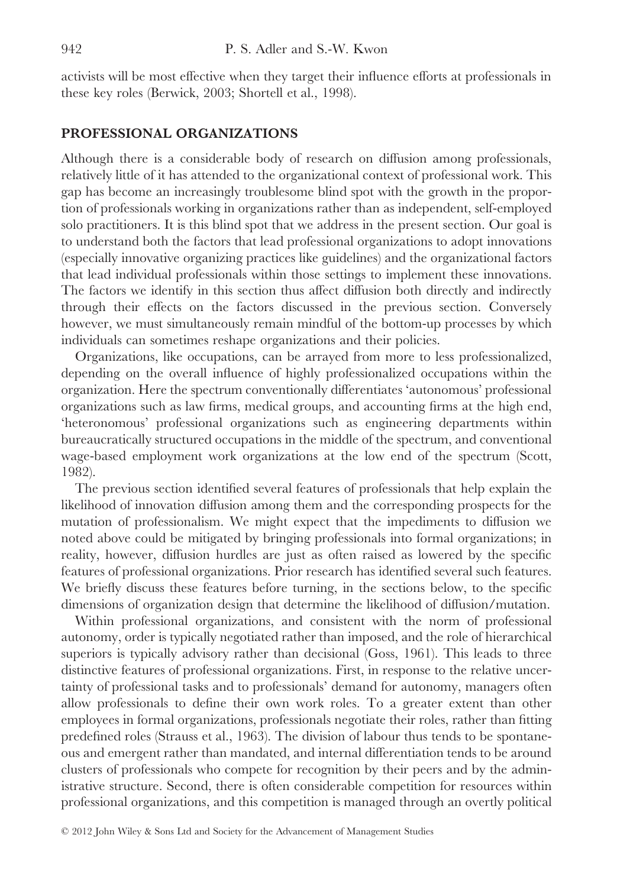activists will be most effective when they target their influence efforts at professionals in these key roles (Berwick, 2003; Shortell et al., 1998).

### **PROFESSIONAL ORGANIZATIONS**

Although there is a considerable body of research on diffusion among professionals, relatively little of it has attended to the organizational context of professional work. This gap has become an increasingly troublesome blind spot with the growth in the proportion of professionals working in organizations rather than as independent, self-employed solo practitioners. It is this blind spot that we address in the present section. Our goal is to understand both the factors that lead professional organizations to adopt innovations (especially innovative organizing practices like guidelines) and the organizational factors that lead individual professionals within those settings to implement these innovations. The factors we identify in this section thus affect diffusion both directly and indirectly through their effects on the factors discussed in the previous section. Conversely however, we must simultaneously remain mindful of the bottom-up processes by which individuals can sometimes reshape organizations and their policies.

Organizations, like occupations, can be arrayed from more to less professionalized, depending on the overall influence of highly professionalized occupations within the organization. Here the spectrum conventionally differentiates 'autonomous' professional organizations such as law firms, medical groups, and accounting firms at the high end, 'heteronomous' professional organizations such as engineering departments within bureaucratically structured occupations in the middle of the spectrum, and conventional wage-based employment work organizations at the low end of the spectrum (Scott, 1982).

The previous section identified several features of professionals that help explain the likelihood of innovation diffusion among them and the corresponding prospects for the mutation of professionalism. We might expect that the impediments to diffusion we noted above could be mitigated by bringing professionals into formal organizations; in reality, however, diffusion hurdles are just as often raised as lowered by the specific features of professional organizations. Prior research has identified several such features. We briefly discuss these features before turning, in the sections below, to the specific dimensions of organization design that determine the likelihood of diffusion/mutation.

Within professional organizations, and consistent with the norm of professional autonomy, order is typically negotiated rather than imposed, and the role of hierarchical superiors is typically advisory rather than decisional (Goss, 1961). This leads to three distinctive features of professional organizations. First, in response to the relative uncertainty of professional tasks and to professionals' demand for autonomy, managers often allow professionals to define their own work roles. To a greater extent than other employees in formal organizations, professionals negotiate their roles, rather than fitting predefined roles (Strauss et al., 1963). The division of labour thus tends to be spontaneous and emergent rather than mandated, and internal differentiation tends to be around clusters of professionals who compete for recognition by their peers and by the administrative structure. Second, there is often considerable competition for resources within professional organizations, and this competition is managed through an overtly political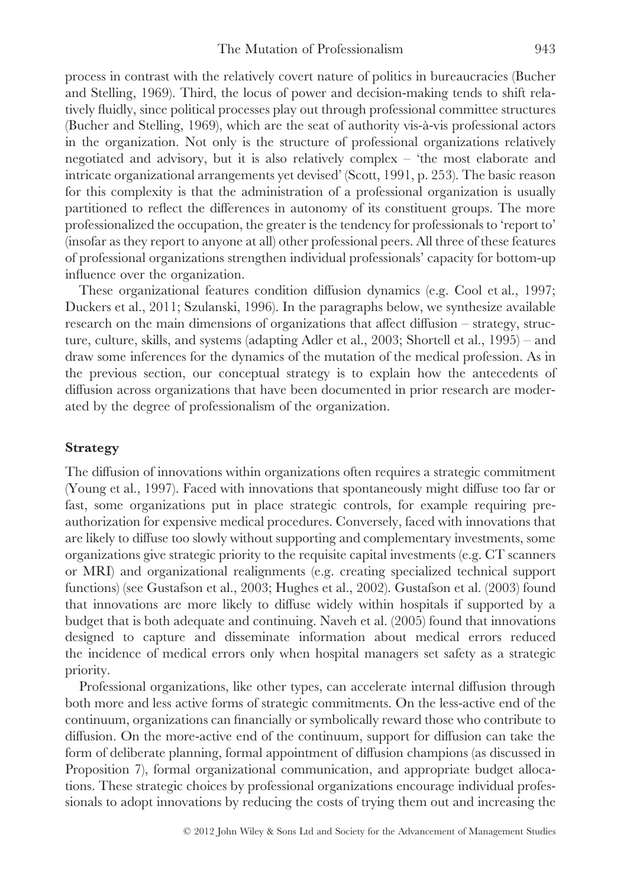process in contrast with the relatively covert nature of politics in bureaucracies (Bucher and Stelling, 1969). Third, the locus of power and decision-making tends to shift relatively fluidly, since political processes play out through professional committee structures (Bucher and Stelling, 1969), which are the seat of authority vis-à-vis professional actors in the organization. Not only is the structure of professional organizations relatively negotiated and advisory, but it is also relatively complex – 'the most elaborate and intricate organizational arrangements yet devised' (Scott, 1991, p. 253). The basic reason for this complexity is that the administration of a professional organization is usually partitioned to reflect the differences in autonomy of its constituent groups. The more professionalized the occupation, the greater is the tendency for professionals to 'report to' (insofar as they report to anyone at all) other professional peers. All three of these features of professional organizations strengthen individual professionals' capacity for bottom-up influence over the organization.

These organizational features condition diffusion dynamics (e.g. Cool et al., 1997; Duckers et al., 2011; Szulanski, 1996). In the paragraphs below, we synthesize available research on the main dimensions of organizations that affect diffusion – strategy, structure, culture, skills, and systems (adapting Adler et al., 2003; Shortell et al., 1995) – and draw some inferences for the dynamics of the mutation of the medical profession. As in the previous section, our conceptual strategy is to explain how the antecedents of diffusion across organizations that have been documented in prior research are moderated by the degree of professionalism of the organization.

#### **Strategy**

The diffusion of innovations within organizations often requires a strategic commitment (Young et al., 1997). Faced with innovations that spontaneously might diffuse too far or fast, some organizations put in place strategic controls, for example requiring preauthorization for expensive medical procedures. Conversely, faced with innovations that are likely to diffuse too slowly without supporting and complementary investments, some organizations give strategic priority to the requisite capital investments (e.g. CT scanners or MRI) and organizational realignments (e.g. creating specialized technical support functions) (see Gustafson et al., 2003; Hughes et al., 2002). Gustafson et al. (2003) found that innovations are more likely to diffuse widely within hospitals if supported by a budget that is both adequate and continuing. Naveh et al. (2005) found that innovations designed to capture and disseminate information about medical errors reduced the incidence of medical errors only when hospital managers set safety as a strategic priority.

Professional organizations, like other types, can accelerate internal diffusion through both more and less active forms of strategic commitments. On the less-active end of the continuum, organizations can financially or symbolically reward those who contribute to diffusion. On the more-active end of the continuum, support for diffusion can take the form of deliberate planning, formal appointment of diffusion champions (as discussed in Proposition 7), formal organizational communication, and appropriate budget allocations. These strategic choices by professional organizations encourage individual professionals to adopt innovations by reducing the costs of trying them out and increasing the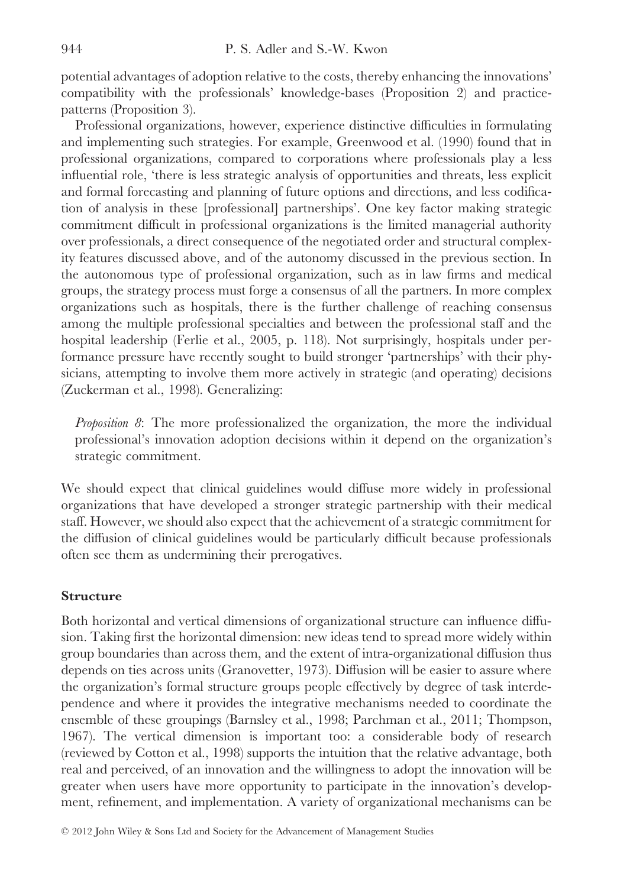potential advantages of adoption relative to the costs, thereby enhancing the innovations' compatibility with the professionals' knowledge-bases (Proposition 2) and practicepatterns (Proposition 3).

Professional organizations, however, experience distinctive difficulties in formulating and implementing such strategies. For example, Greenwood et al. (1990) found that in professional organizations, compared to corporations where professionals play a less influential role, 'there is less strategic analysis of opportunities and threats, less explicit and formal forecasting and planning of future options and directions, and less codification of analysis in these [professional] partnerships'. One key factor making strategic commitment difficult in professional organizations is the limited managerial authority over professionals, a direct consequence of the negotiated order and structural complexity features discussed above, and of the autonomy discussed in the previous section. In the autonomous type of professional organization, such as in law firms and medical groups, the strategy process must forge a consensus of all the partners. In more complex organizations such as hospitals, there is the further challenge of reaching consensus among the multiple professional specialties and between the professional staff and the hospital leadership (Ferlie et al., 2005, p. 118). Not surprisingly, hospitals under performance pressure have recently sought to build stronger 'partnerships' with their physicians, attempting to involve them more actively in strategic (and operating) decisions (Zuckerman et al., 1998). Generalizing:

*Proposition 8*: The more professionalized the organization, the more the individual professional's innovation adoption decisions within it depend on the organization's strategic commitment.

We should expect that clinical guidelines would diffuse more widely in professional organizations that have developed a stronger strategic partnership with their medical staff. However, we should also expect that the achievement of a strategic commitment for the diffusion of clinical guidelines would be particularly difficult because professionals often see them as undermining their prerogatives.

## **Structure**

Both horizontal and vertical dimensions of organizational structure can influence diffusion. Taking first the horizontal dimension: new ideas tend to spread more widely within group boundaries than across them, and the extent of intra-organizational diffusion thus depends on ties across units (Granovetter, 1973). Diffusion will be easier to assure where the organization's formal structure groups people effectively by degree of task interdependence and where it provides the integrative mechanisms needed to coordinate the ensemble of these groupings (Barnsley et al., 1998; Parchman et al., 2011; Thompson, 1967). The vertical dimension is important too: a considerable body of research (reviewed by Cotton et al., 1998) supports the intuition that the relative advantage, both real and perceived, of an innovation and the willingness to adopt the innovation will be greater when users have more opportunity to participate in the innovation's development, refinement, and implementation. A variety of organizational mechanisms can be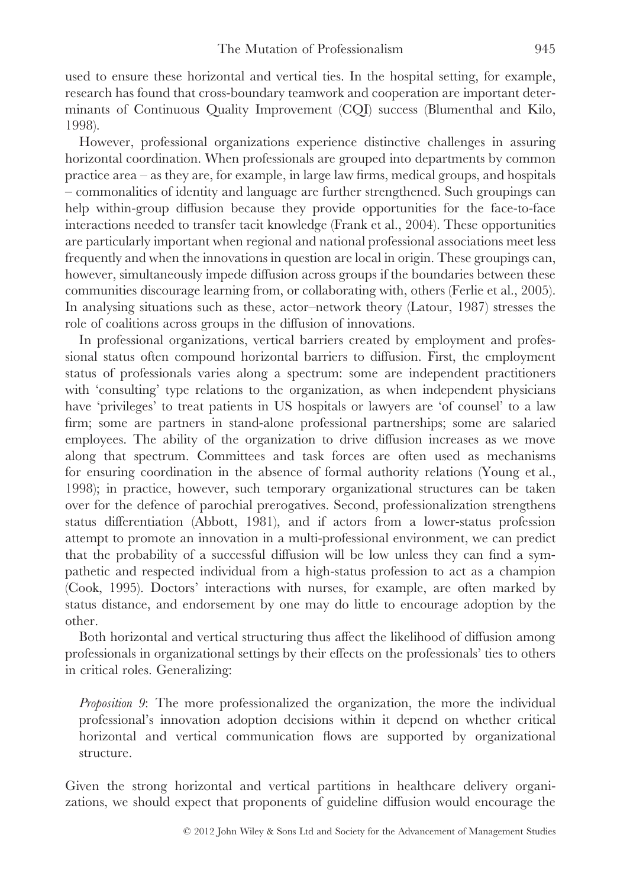used to ensure these horizontal and vertical ties. In the hospital setting, for example, research has found that cross-boundary teamwork and cooperation are important determinants of Continuous Quality Improvement (CQI) success (Blumenthal and Kilo, 1998).

However, professional organizations experience distinctive challenges in assuring horizontal coordination. When professionals are grouped into departments by common practice area – as they are, for example, in large law firms, medical groups, and hospitals – commonalities of identity and language are further strengthened. Such groupings can help within-group diffusion because they provide opportunities for the face-to-face interactions needed to transfer tacit knowledge (Frank et al., 2004). These opportunities are particularly important when regional and national professional associations meet less frequently and when the innovations in question are local in origin. These groupings can, however, simultaneously impede diffusion across groups if the boundaries between these communities discourage learning from, or collaborating with, others (Ferlie et al., 2005). In analysing situations such as these, actor–network theory (Latour, 1987) stresses the role of coalitions across groups in the diffusion of innovations.

In professional organizations, vertical barriers created by employment and professional status often compound horizontal barriers to diffusion. First, the employment status of professionals varies along a spectrum: some are independent practitioners with 'consulting' type relations to the organization, as when independent physicians have 'privileges' to treat patients in US hospitals or lawyers are 'of counsel' to a law firm; some are partners in stand-alone professional partnerships; some are salaried employees. The ability of the organization to drive diffusion increases as we move along that spectrum. Committees and task forces are often used as mechanisms for ensuring coordination in the absence of formal authority relations (Young et al., 1998); in practice, however, such temporary organizational structures can be taken over for the defence of parochial prerogatives. Second, professionalization strengthens status differentiation (Abbott, 1981), and if actors from a lower-status profession attempt to promote an innovation in a multi-professional environment, we can predict that the probability of a successful diffusion will be low unless they can find a sympathetic and respected individual from a high-status profession to act as a champion (Cook, 1995). Doctors' interactions with nurses, for example, are often marked by status distance, and endorsement by one may do little to encourage adoption by the other.

Both horizontal and vertical structuring thus affect the likelihood of diffusion among professionals in organizational settings by their effects on the professionals' ties to others in critical roles. Generalizing:

*Proposition 9*: The more professionalized the organization, the more the individual professional's innovation adoption decisions within it depend on whether critical horizontal and vertical communication flows are supported by organizational structure.

Given the strong horizontal and vertical partitions in healthcare delivery organizations, we should expect that proponents of guideline diffusion would encourage the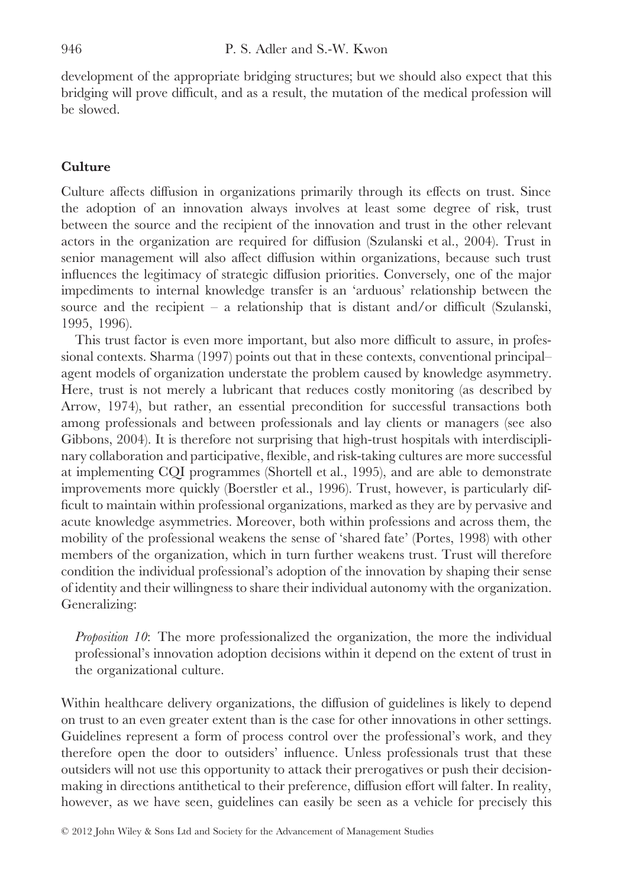development of the appropriate bridging structures; but we should also expect that this bridging will prove difficult, and as a result, the mutation of the medical profession will be slowed.

## **Culture**

Culture affects diffusion in organizations primarily through its effects on trust. Since the adoption of an innovation always involves at least some degree of risk, trust between the source and the recipient of the innovation and trust in the other relevant actors in the organization are required for diffusion (Szulanski et al., 2004). Trust in senior management will also affect diffusion within organizations, because such trust influences the legitimacy of strategic diffusion priorities. Conversely, one of the major impediments to internal knowledge transfer is an 'arduous' relationship between the source and the recipient – a relationship that is distant and/or difficult (Szulanski, 1995, 1996).

This trust factor is even more important, but also more difficult to assure, in professional contexts. Sharma (1997) points out that in these contexts, conventional principal– agent models of organization understate the problem caused by knowledge asymmetry. Here, trust is not merely a lubricant that reduces costly monitoring (as described by Arrow, 1974), but rather, an essential precondition for successful transactions both among professionals and between professionals and lay clients or managers (see also Gibbons, 2004). It is therefore not surprising that high-trust hospitals with interdisciplinary collaboration and participative, flexible, and risk-taking cultures are more successful at implementing CQI programmes (Shortell et al., 1995), and are able to demonstrate improvements more quickly (Boerstler et al., 1996). Trust, however, is particularly difficult to maintain within professional organizations, marked as they are by pervasive and acute knowledge asymmetries. Moreover, both within professions and across them, the mobility of the professional weakens the sense of 'shared fate' (Portes, 1998) with other members of the organization, which in turn further weakens trust. Trust will therefore condition the individual professional's adoption of the innovation by shaping their sense of identity and their willingness to share their individual autonomy with the organization. Generalizing:

*Proposition 10*: The more professionalized the organization, the more the individual professional's innovation adoption decisions within it depend on the extent of trust in the organizational culture.

Within healthcare delivery organizations, the diffusion of guidelines is likely to depend on trust to an even greater extent than is the case for other innovations in other settings. Guidelines represent a form of process control over the professional's work, and they therefore open the door to outsiders' influence. Unless professionals trust that these outsiders will not use this opportunity to attack their prerogatives or push their decisionmaking in directions antithetical to their preference, diffusion effort will falter. In reality, however, as we have seen, guidelines can easily be seen as a vehicle for precisely this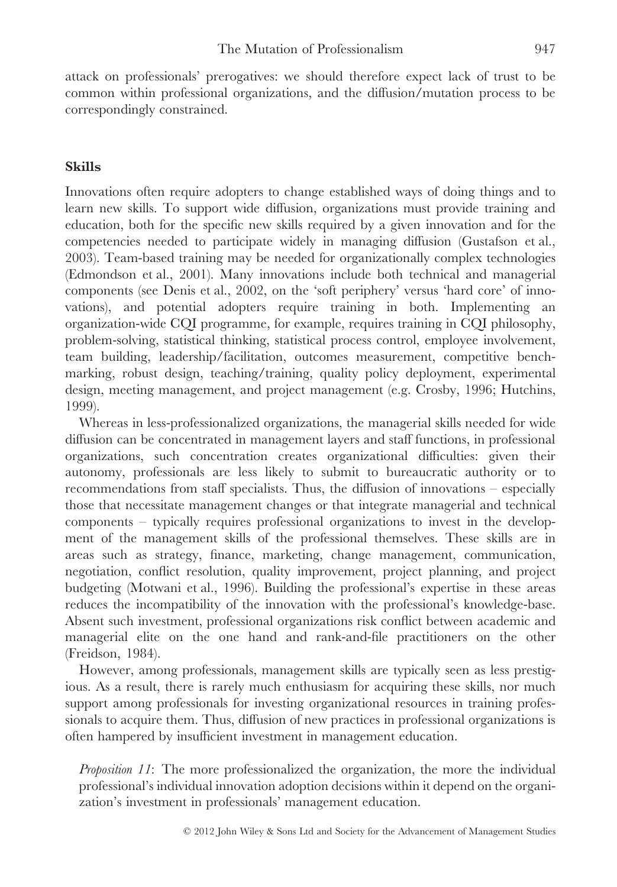attack on professionals' prerogatives: we should therefore expect lack of trust to be common within professional organizations, and the diffusion/mutation process to be correspondingly constrained.

## **Skills**

Innovations often require adopters to change established ways of doing things and to learn new skills. To support wide diffusion, organizations must provide training and education, both for the specific new skills required by a given innovation and for the competencies needed to participate widely in managing diffusion (Gustafson et al., 2003). Team-based training may be needed for organizationally complex technologies (Edmondson et al., 2001). Many innovations include both technical and managerial components (see Denis et al., 2002, on the 'soft periphery' versus 'hard core' of innovations), and potential adopters require training in both. Implementing an organization-wide CQI programme, for example, requires training in CQI philosophy, problem-solving, statistical thinking, statistical process control, employee involvement, team building, leadership/facilitation, outcomes measurement, competitive benchmarking, robust design, teaching/training, quality policy deployment, experimental design, meeting management, and project management (e.g. Crosby, 1996; Hutchins, 1999).

Whereas in less-professionalized organizations, the managerial skills needed for wide diffusion can be concentrated in management layers and staff functions, in professional organizations, such concentration creates organizational difficulties: given their autonomy, professionals are less likely to submit to bureaucratic authority or to recommendations from staff specialists. Thus, the diffusion of innovations – especially those that necessitate management changes or that integrate managerial and technical components – typically requires professional organizations to invest in the development of the management skills of the professional themselves. These skills are in areas such as strategy, finance, marketing, change management, communication, negotiation, conflict resolution, quality improvement, project planning, and project budgeting (Motwani et al., 1996). Building the professional's expertise in these areas reduces the incompatibility of the innovation with the professional's knowledge-base. Absent such investment, professional organizations risk conflict between academic and managerial elite on the one hand and rank-and-file practitioners on the other (Freidson, 1984).

However, among professionals, management skills are typically seen as less prestigious. As a result, there is rarely much enthusiasm for acquiring these skills, nor much support among professionals for investing organizational resources in training professionals to acquire them. Thus, diffusion of new practices in professional organizations is often hampered by insufficient investment in management education.

*Proposition 11*: The more professionalized the organization, the more the individual professional's individual innovation adoption decisions within it depend on the organization's investment in professionals' management education.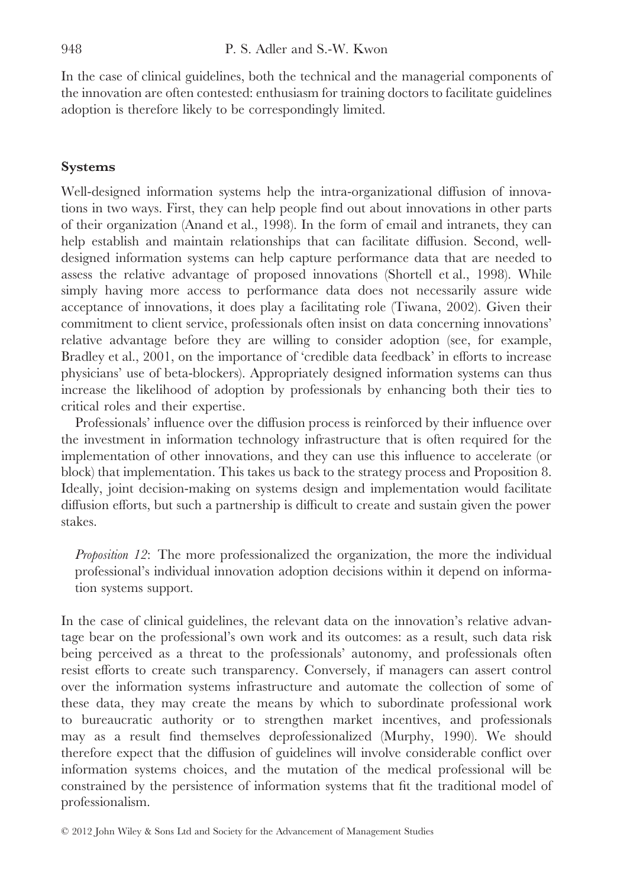In the case of clinical guidelines, both the technical and the managerial components of the innovation are often contested: enthusiasm for training doctors to facilitate guidelines adoption is therefore likely to be correspondingly limited.

## **Systems**

Well-designed information systems help the intra-organizational diffusion of innovations in two ways. First, they can help people find out about innovations in other parts of their organization (Anand et al., 1998). In the form of email and intranets, they can help establish and maintain relationships that can facilitate diffusion. Second, welldesigned information systems can help capture performance data that are needed to assess the relative advantage of proposed innovations (Shortell et al., 1998). While simply having more access to performance data does not necessarily assure wide acceptance of innovations, it does play a facilitating role (Tiwana, 2002). Given their commitment to client service, professionals often insist on data concerning innovations' relative advantage before they are willing to consider adoption (see, for example, Bradley et al., 2001, on the importance of 'credible data feedback' in efforts to increase physicians' use of beta-blockers). Appropriately designed information systems can thus increase the likelihood of adoption by professionals by enhancing both their ties to critical roles and their expertise.

Professionals' influence over the diffusion process is reinforced by their influence over the investment in information technology infrastructure that is often required for the implementation of other innovations, and they can use this influence to accelerate (or block) that implementation. This takes us back to the strategy process and Proposition 8. Ideally, joint decision-making on systems design and implementation would facilitate diffusion efforts, but such a partnership is difficult to create and sustain given the power stakes.

*Proposition 12*: The more professionalized the organization, the more the individual professional's individual innovation adoption decisions within it depend on information systems support.

In the case of clinical guidelines, the relevant data on the innovation's relative advantage bear on the professional's own work and its outcomes: as a result, such data risk being perceived as a threat to the professionals' autonomy, and professionals often resist efforts to create such transparency. Conversely, if managers can assert control over the information systems infrastructure and automate the collection of some of these data, they may create the means by which to subordinate professional work to bureaucratic authority or to strengthen market incentives, and professionals may as a result find themselves deprofessionalized (Murphy, 1990). We should therefore expect that the diffusion of guidelines will involve considerable conflict over information systems choices, and the mutation of the medical professional will be constrained by the persistence of information systems that fit the traditional model of professionalism.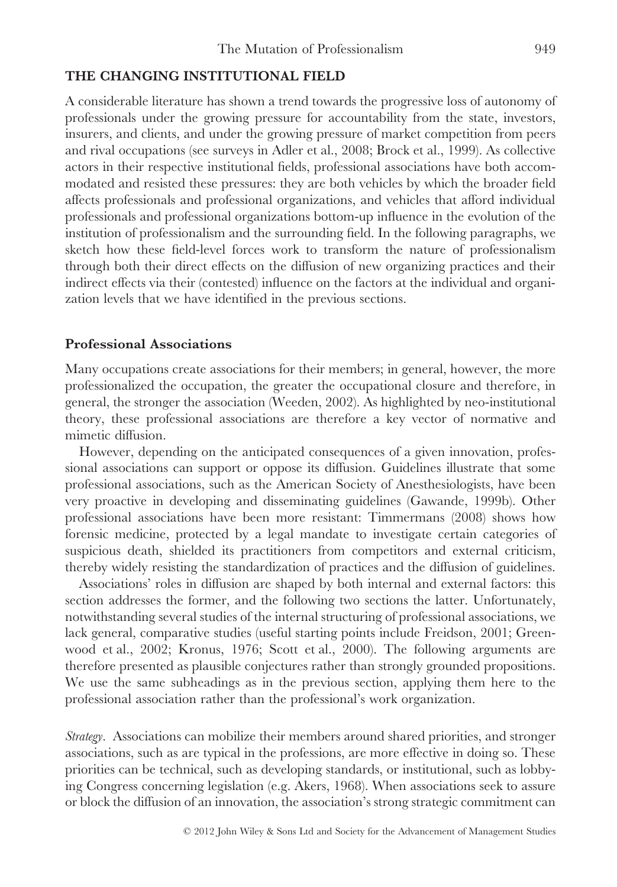## **THE CHANGING INSTITUTIONAL FIELD**

A considerable literature has shown a trend towards the progressive loss of autonomy of professionals under the growing pressure for accountability from the state, investors, insurers, and clients, and under the growing pressure of market competition from peers and rival occupations (see surveys in Adler et al., 2008; Brock et al., 1999). As collective actors in their respective institutional fields, professional associations have both accommodated and resisted these pressures: they are both vehicles by which the broader field affects professionals and professional organizations, and vehicles that afford individual professionals and professional organizations bottom-up influence in the evolution of the institution of professionalism and the surrounding field. In the following paragraphs, we sketch how these field-level forces work to transform the nature of professionalism through both their direct effects on the diffusion of new organizing practices and their indirect effects via their (contested) influence on the factors at the individual and organization levels that we have identified in the previous sections.

### **Professional Associations**

Many occupations create associations for their members; in general, however, the more professionalized the occupation, the greater the occupational closure and therefore, in general, the stronger the association (Weeden, 2002). As highlighted by neo-institutional theory, these professional associations are therefore a key vector of normative and mimetic diffusion.

However, depending on the anticipated consequences of a given innovation, professional associations can support or oppose its diffusion. Guidelines illustrate that some professional associations, such as the American Society of Anesthesiologists, have been very proactive in developing and disseminating guidelines (Gawande, 1999b). Other professional associations have been more resistant: Timmermans (2008) shows how forensic medicine, protected by a legal mandate to investigate certain categories of suspicious death, shielded its practitioners from competitors and external criticism, thereby widely resisting the standardization of practices and the diffusion of guidelines.

Associations' roles in diffusion are shaped by both internal and external factors: this section addresses the former, and the following two sections the latter. Unfortunately, notwithstanding several studies of the internal structuring of professional associations, we lack general, comparative studies (useful starting points include Freidson, 2001; Greenwood et al., 2002; Kronus, 1976; Scott et al., 2000). The following arguments are therefore presented as plausible conjectures rather than strongly grounded propositions. We use the same subheadings as in the previous section, applying them here to the professional association rather than the professional's work organization.

*Strategy.* Associations can mobilize their members around shared priorities, and stronger associations, such as are typical in the professions, are more effective in doing so. These priorities can be technical, such as developing standards, or institutional, such as lobbying Congress concerning legislation (e.g. Akers, 1968). When associations seek to assure or block the diffusion of an innovation, the association's strong strategic commitment can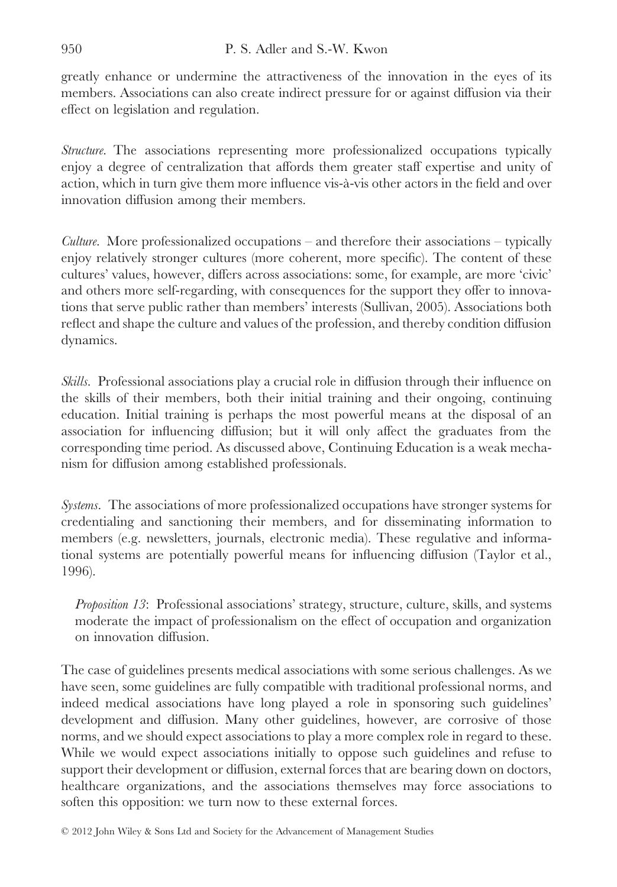greatly enhance or undermine the attractiveness of the innovation in the eyes of its members. Associations can also create indirect pressure for or against diffusion via their effect on legislation and regulation.

*Structure.* The associations representing more professionalized occupations typically enjoy a degree of centralization that affords them greater staff expertise and unity of action, which in turn give them more influence vis-à-vis other actors in the field and over innovation diffusion among their members.

*Culture.* More professionalized occupations – and therefore their associations – typically enjoy relatively stronger cultures (more coherent, more specific). The content of these cultures' values, however, differs across associations: some, for example, are more 'civic' and others more self-regarding, with consequences for the support they offer to innovations that serve public rather than members' interests (Sullivan, 2005). Associations both reflect and shape the culture and values of the profession, and thereby condition diffusion dynamics.

*Skills.* Professional associations play a crucial role in diffusion through their influence on the skills of their members, both their initial training and their ongoing, continuing education. Initial training is perhaps the most powerful means at the disposal of an association for influencing diffusion; but it will only affect the graduates from the corresponding time period. As discussed above, Continuing Education is a weak mechanism for diffusion among established professionals.

*Systems.* The associations of more professionalized occupations have stronger systems for credentialing and sanctioning their members, and for disseminating information to members (e.g. newsletters, journals, electronic media). These regulative and informational systems are potentially powerful means for influencing diffusion (Taylor et al., 1996).

*Proposition 13*: Professional associations' strategy, structure, culture, skills, and systems moderate the impact of professionalism on the effect of occupation and organization on innovation diffusion.

The case of guidelines presents medical associations with some serious challenges. As we have seen, some guidelines are fully compatible with traditional professional norms, and indeed medical associations have long played a role in sponsoring such guidelines' development and diffusion. Many other guidelines, however, are corrosive of those norms, and we should expect associations to play a more complex role in regard to these. While we would expect associations initially to oppose such guidelines and refuse to support their development or diffusion, external forces that are bearing down on doctors, healthcare organizations, and the associations themselves may force associations to soften this opposition: we turn now to these external forces.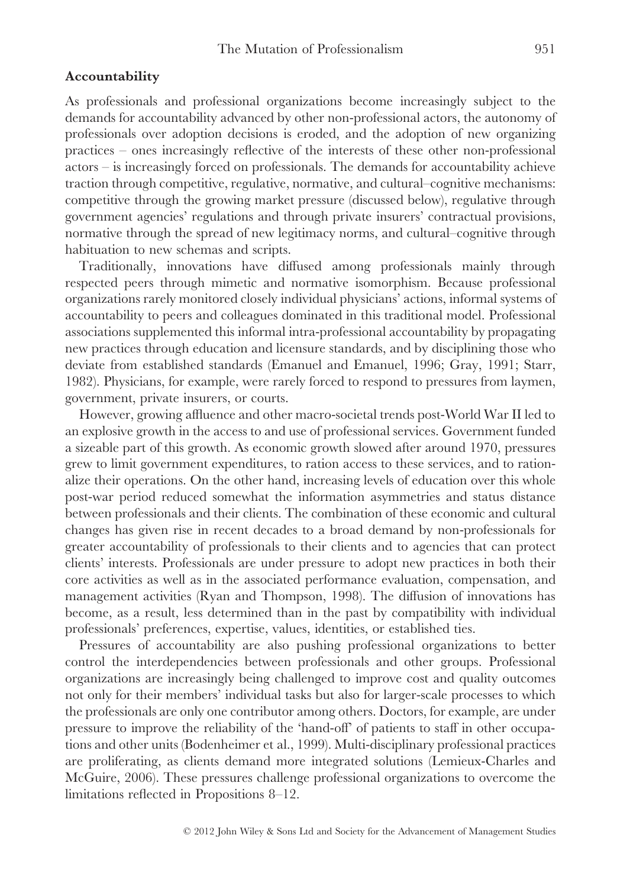#### **Accountability**

As professionals and professional organizations become increasingly subject to the demands for accountability advanced by other non-professional actors, the autonomy of professionals over adoption decisions is eroded, and the adoption of new organizing practices – ones increasingly reflective of the interests of these other non-professional actors – is increasingly forced on professionals. The demands for accountability achieve traction through competitive, regulative, normative, and cultural–cognitive mechanisms: competitive through the growing market pressure (discussed below), regulative through government agencies' regulations and through private insurers' contractual provisions, normative through the spread of new legitimacy norms, and cultural–cognitive through habituation to new schemas and scripts.

Traditionally, innovations have diffused among professionals mainly through respected peers through mimetic and normative isomorphism. Because professional organizations rarely monitored closely individual physicians' actions, informal systems of accountability to peers and colleagues dominated in this traditional model. Professional associations supplemented this informal intra-professional accountability by propagating new practices through education and licensure standards, and by disciplining those who deviate from established standards (Emanuel and Emanuel, 1996; Gray, 1991; Starr, 1982). Physicians, for example, were rarely forced to respond to pressures from laymen, government, private insurers, or courts.

However, growing affluence and other macro-societal trends post-World War II led to an explosive growth in the access to and use of professional services. Government funded a sizeable part of this growth. As economic growth slowed after around 1970, pressures grew to limit government expenditures, to ration access to these services, and to rationalize their operations. On the other hand, increasing levels of education over this whole post-war period reduced somewhat the information asymmetries and status distance between professionals and their clients. The combination of these economic and cultural changes has given rise in recent decades to a broad demand by non-professionals for greater accountability of professionals to their clients and to agencies that can protect clients' interests. Professionals are under pressure to adopt new practices in both their core activities as well as in the associated performance evaluation, compensation, and management activities (Ryan and Thompson, 1998). The diffusion of innovations has become, as a result, less determined than in the past by compatibility with individual professionals' preferences, expertise, values, identities, or established ties.

Pressures of accountability are also pushing professional organizations to better control the interdependencies between professionals and other groups. Professional organizations are increasingly being challenged to improve cost and quality outcomes not only for their members' individual tasks but also for larger-scale processes to which the professionals are only one contributor among others. Doctors, for example, are under pressure to improve the reliability of the 'hand-off' of patients to staff in other occupations and other units (Bodenheimer et al., 1999). Multi-disciplinary professional practices are proliferating, as clients demand more integrated solutions (Lemieux-Charles and McGuire, 2006). These pressures challenge professional organizations to overcome the limitations reflected in Propositions 8–12.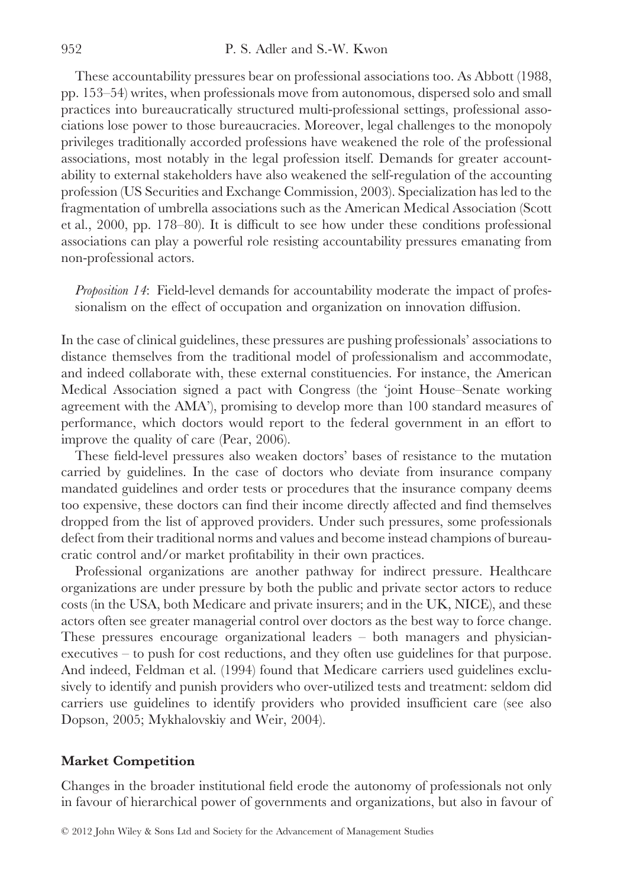These accountability pressures bear on professional associations too. As Abbott (1988, pp. 153–54) writes, when professionals move from autonomous, dispersed solo and small practices into bureaucratically structured multi-professional settings, professional associations lose power to those bureaucracies. Moreover, legal challenges to the monopoly privileges traditionally accorded professions have weakened the role of the professional associations, most notably in the legal profession itself. Demands for greater accountability to external stakeholders have also weakened the self-regulation of the accounting profession (US Securities and Exchange Commission, 2003). Specialization has led to the fragmentation of umbrella associations such as the American Medical Association (Scott et al., 2000, pp. 178–80). It is difficult to see how under these conditions professional associations can play a powerful role resisting accountability pressures emanating from non-professional actors.

*Proposition 14*: Field-level demands for accountability moderate the impact of professionalism on the effect of occupation and organization on innovation diffusion.

In the case of clinical guidelines, these pressures are pushing professionals' associations to distance themselves from the traditional model of professionalism and accommodate, and indeed collaborate with, these external constituencies. For instance, the American Medical Association signed a pact with Congress (the 'joint House–Senate working agreement with the AMA'), promising to develop more than 100 standard measures of performance, which doctors would report to the federal government in an effort to improve the quality of care (Pear, 2006).

These field-level pressures also weaken doctors' bases of resistance to the mutation carried by guidelines. In the case of doctors who deviate from insurance company mandated guidelines and order tests or procedures that the insurance company deems too expensive, these doctors can find their income directly affected and find themselves dropped from the list of approved providers. Under such pressures, some professionals defect from their traditional norms and values and become instead champions of bureaucratic control and/or market profitability in their own practices.

Professional organizations are another pathway for indirect pressure. Healthcare organizations are under pressure by both the public and private sector actors to reduce costs (in the USA, both Medicare and private insurers; and in the UK, NICE), and these actors often see greater managerial control over doctors as the best way to force change. These pressures encourage organizational leaders – both managers and physicianexecutives – to push for cost reductions, and they often use guidelines for that purpose. And indeed, Feldman et al. (1994) found that Medicare carriers used guidelines exclusively to identify and punish providers who over-utilized tests and treatment: seldom did carriers use guidelines to identify providers who provided insufficient care (see also Dopson, 2005; Mykhalovskiy and Weir, 2004).

#### **Market Competition**

Changes in the broader institutional field erode the autonomy of professionals not only in favour of hierarchical power of governments and organizations, but also in favour of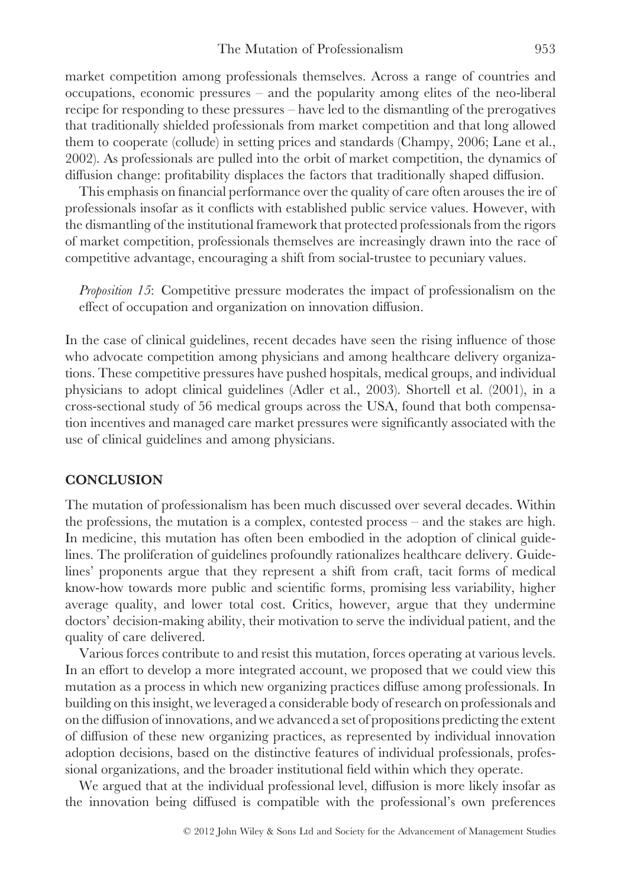market competition among professionals themselves. Across a range of countries and occupations, economic pressures – and the popularity among elites of the neo-liberal recipe for responding to these pressures – have led to the dismantling of the prerogatives that traditionally shielded professionals from market competition and that long allowed them to cooperate (collude) in setting prices and standards (Champy, 2006; Lane et al., 2002). As professionals are pulled into the orbit of market competition, the dynamics of diffusion change: profitability displaces the factors that traditionally shaped diffusion.

This emphasis on financial performance over the quality of care often arouses the ire of professionals insofar as it conflicts with established public service values. However, with the dismantling of the institutional framework that protected professionals from the rigors of market competition, professionals themselves are increasingly drawn into the race of competitive advantage, encouraging a shift from social-trustee to pecuniary values.

*Proposition 15*: Competitive pressure moderates the impact of professionalism on the effect of occupation and organization on innovation diffusion.

In the case of clinical guidelines, recent decades have seen the rising influence of those who advocate competition among physicians and among healthcare delivery organizations. These competitive pressures have pushed hospitals, medical groups, and individual physicians to adopt clinical guidelines (Adler et al., 2003). Shortell et al. (2001), in a cross-sectional study of 56 medical groups across the USA, found that both compensation incentives and managed care market pressures were significantly associated with the use of clinical guidelines and among physicians.

#### **CONCLUSION**

The mutation of professionalism has been much discussed over several decades. Within the professions, the mutation is a complex, contested process – and the stakes are high. In medicine, this mutation has often been embodied in the adoption of clinical guidelines. The proliferation of guidelines profoundly rationalizes healthcare delivery. Guidelines' proponents argue that they represent a shift from craft, tacit forms of medical know-how towards more public and scientific forms, promising less variability, higher average quality, and lower total cost. Critics, however, argue that they undermine doctors' decision-making ability, their motivation to serve the individual patient, and the quality of care delivered.

Various forces contribute to and resist this mutation, forces operating at various levels. In an effort to develop a more integrated account, we proposed that we could view this mutation as a process in which new organizing practices diffuse among professionals. In building on this insight, we leveraged a considerable body of research on professionals and on the diffusion of innovations, and we advanced a set of propositions predicting the extent of diffusion of these new organizing practices, as represented by individual innovation adoption decisions, based on the distinctive features of individual professionals, professional organizations, and the broader institutional field within which they operate.

We argued that at the individual professional level, diffusion is more likely insofar as the innovation being diffused is compatible with the professional's own preferences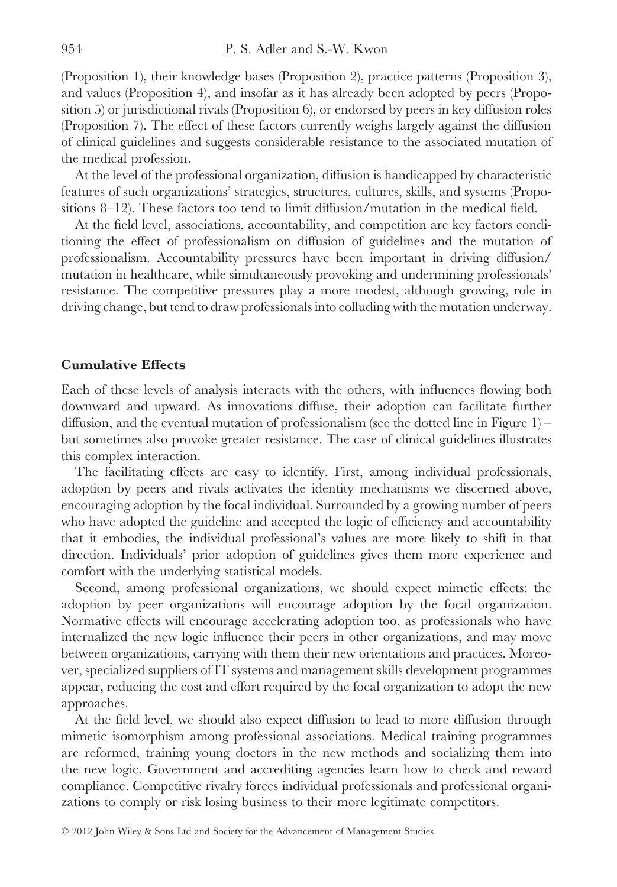(Proposition 1), their knowledge bases (Proposition 2), practice patterns (Proposition 3), and values (Proposition 4), and insofar as it has already been adopted by peers (Proposition 5) or jurisdictional rivals (Proposition 6), or endorsed by peers in key diffusion roles (Proposition 7). The effect of these factors currently weighs largely against the diffusion of clinical guidelines and suggests considerable resistance to the associated mutation of the medical profession.

At the level of the professional organization, diffusion is handicapped by characteristic features of such organizations' strategies, structures, cultures, skills, and systems (Propositions 8–12). These factors too tend to limit diffusion/mutation in the medical field.

At the field level, associations, accountability, and competition are key factors conditioning the effect of professionalism on diffusion of guidelines and the mutation of professionalism. Accountability pressures have been important in driving diffusion/ mutation in healthcare, while simultaneously provoking and undermining professionals' resistance. The competitive pressures play a more modest, although growing, role in driving change, but tend to draw professionals into colluding with the mutation underway.

#### **Cumulative Effects**

Each of these levels of analysis interacts with the others, with influences flowing both downward and upward. As innovations diffuse, their adoption can facilitate further diffusion, and the eventual mutation of professionalism (see the dotted line in Figure 1) – but sometimes also provoke greater resistance. The case of clinical guidelines illustrates this complex interaction.

The facilitating effects are easy to identify. First, among individual professionals, adoption by peers and rivals activates the identity mechanisms we discerned above, encouraging adoption by the focal individual. Surrounded by a growing number of peers who have adopted the guideline and accepted the logic of efficiency and accountability that it embodies, the individual professional's values are more likely to shift in that direction. Individuals' prior adoption of guidelines gives them more experience and comfort with the underlying statistical models.

Second, among professional organizations, we should expect mimetic effects: the adoption by peer organizations will encourage adoption by the focal organization. Normative effects will encourage accelerating adoption too, as professionals who have internalized the new logic influence their peers in other organizations, and may move between organizations, carrying with them their new orientations and practices. Moreover, specialized suppliers of IT systems and management skills development programmes appear, reducing the cost and effort required by the focal organization to adopt the new approaches.

At the field level, we should also expect diffusion to lead to more diffusion through mimetic isomorphism among professional associations. Medical training programmes are reformed, training young doctors in the new methods and socializing them into the new logic. Government and accrediting agencies learn how to check and reward compliance. Competitive rivalry forces individual professionals and professional organizations to comply or risk losing business to their more legitimate competitors.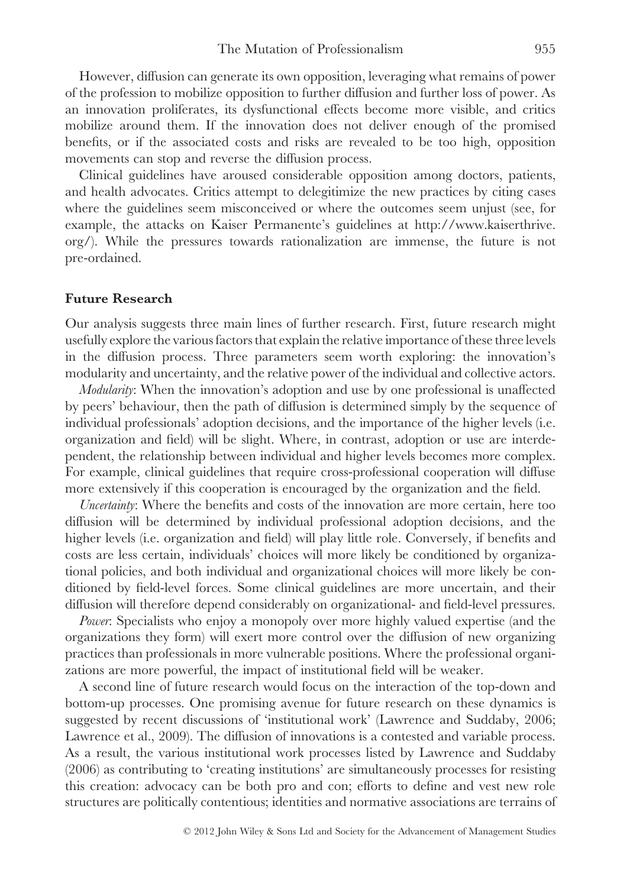However, diffusion can generate its own opposition, leveraging what remains of power of the profession to mobilize opposition to further diffusion and further loss of power. As an innovation proliferates, its dysfunctional effects become more visible, and critics mobilize around them. If the innovation does not deliver enough of the promised benefits, or if the associated costs and risks are revealed to be too high, opposition movements can stop and reverse the diffusion process.

Clinical guidelines have aroused considerable opposition among doctors, patients, and health advocates. Critics attempt to delegitimize the new practices by citing cases where the guidelines seem misconceived or where the outcomes seem unjust (see, for example, the attacks on Kaiser Permanente's guidelines at http://www.kaiserthrive. org/). While the pressures towards rationalization are immense, the future is not pre-ordained.

#### **Future Research**

Our analysis suggests three main lines of further research. First, future research might usefully explore the various factors that explain the relative importance of these three levels in the diffusion process. Three parameters seem worth exploring: the innovation's modularity and uncertainty, and the relative power of the individual and collective actors.

*Modularity*: When the innovation's adoption and use by one professional is unaffected by peers' behaviour, then the path of diffusion is determined simply by the sequence of individual professionals' adoption decisions, and the importance of the higher levels (i.e. organization and field) will be slight. Where, in contrast, adoption or use are interdependent, the relationship between individual and higher levels becomes more complex. For example, clinical guidelines that require cross-professional cooperation will diffuse more extensively if this cooperation is encouraged by the organization and the field.

*Uncertainty*: Where the benefits and costs of the innovation are more certain, here too diffusion will be determined by individual professional adoption decisions, and the higher levels (i.e. organization and field) will play little role. Conversely, if benefits and costs are less certain, individuals' choices will more likely be conditioned by organizational policies, and both individual and organizational choices will more likely be conditioned by field-level forces. Some clinical guidelines are more uncertain, and their diffusion will therefore depend considerably on organizational- and field-level pressures.

*Power*: Specialists who enjoy a monopoly over more highly valued expertise (and the organizations they form) will exert more control over the diffusion of new organizing practices than professionals in more vulnerable positions. Where the professional organizations are more powerful, the impact of institutional field will be weaker.

A second line of future research would focus on the interaction of the top-down and bottom-up processes. One promising avenue for future research on these dynamics is suggested by recent discussions of 'institutional work' (Lawrence and Suddaby, 2006; Lawrence et al., 2009). The diffusion of innovations is a contested and variable process. As a result, the various institutional work processes listed by Lawrence and Suddaby (2006) as contributing to 'creating institutions' are simultaneously processes for resisting this creation: advocacy can be both pro and con; efforts to define and vest new role structures are politically contentious; identities and normative associations are terrains of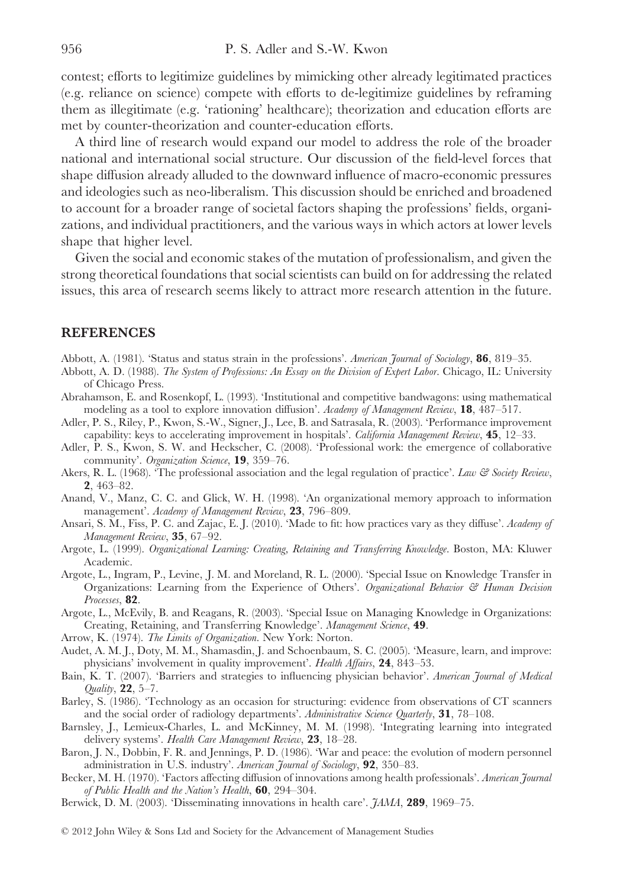contest; efforts to legitimize guidelines by mimicking other already legitimated practices (e.g. reliance on science) compete with efforts to de-legitimize guidelines by reframing them as illegitimate (e.g. 'rationing' healthcare); theorization and education efforts are met by counter-theorization and counter-education efforts.

A third line of research would expand our model to address the role of the broader national and international social structure. Our discussion of the field-level forces that shape diffusion already alluded to the downward influence of macro-economic pressures and ideologies such as neo-liberalism. This discussion should be enriched and broadened to account for a broader range of societal factors shaping the professions' fields, organizations, and individual practitioners, and the various ways in which actors at lower levels shape that higher level.

Given the social and economic stakes of the mutation of professionalism, and given the strong theoretical foundations that social scientists can build on for addressing the related issues, this area of research seems likely to attract more research attention in the future.

#### **REFERENCES**

- Abbott, A. (1981). 'Status and status strain in the professions'. *American Journal of Sociology*, **86**, 819–35.
- Abbott, A. D. (1988). *The System of Professions: An Essay on the Division of Expert Labor*. Chicago, IL: University of Chicago Press.
- Abrahamson, E. and Rosenkopf, L. (1993). 'Institutional and competitive bandwagons: using mathematical modeling as a tool to explore innovation diffusion'. *Academy of Management Review*, **18**, 487–517.
- Adler, P. S., Riley, P., Kwon, S.-W., Signer, J., Lee, B. and Satrasala, R. (2003). 'Performance improvement capability: keys to accelerating improvement in hospitals'. *California Management Review*, **45**, 12–33.
- Adler, P. S., Kwon, S. W. and Heckscher, C. (2008). 'Professional work: the emergence of collaborative community'. *Organization Science*, **19**, 359–76.
- Akers, R. L. (1968). 'The professional association and the legal regulation of practice'. *Law & Society Review*, **2**, 463–82.
- Anand, V., Manz, C. C. and Glick, W. H. (1998). 'An organizational memory approach to information management'. *Academy of Management Review*, **23**, 796–809.
- Ansari, S. M., Fiss, P. C. and Zajac, E. J. (2010). 'Made to fit: how practices vary as they diffuse'. *Academy of Management Review*, **35**, 67–92.
- Argote, L. (1999). *Organizational Learning: Creating, Retaining and Transferring Knowledge*. Boston, MA: Kluwer Academic.
- Argote, L., Ingram, P., Levine, J. M. and Moreland, R. L. (2000). 'Special Issue on Knowledge Transfer in Organizations: Learning from the Experience of Others'. *Organizational Behavior & Human Decision Processes*, **82**.
- Argote, L., McEvily, B. and Reagans, R. (2003). 'Special Issue on Managing Knowledge in Organizations: Creating, Retaining, and Transferring Knowledge'. *Management Science*, **49**.
- Arrow, K. (1974). *The Limits of Organization*. New York: Norton.
- Audet, A. M. J., Doty, M. M., Shamasdin, J. and Schoenbaum, S. C. (2005). 'Measure, learn, and improve: physicians' involvement in quality improvement'. *Health Affairs*, **24**, 843–53.
- Bain, K. T. (2007). 'Barriers and strategies to influencing physician behavior'. *American Journal of Medical Quality*, **22**, 5–7.
- Barley, S. (1986). 'Technology as an occasion for structuring: evidence from observations of CT scanners and the social order of radiology departments'. *Administrative Science Quarterly*, **31**, 78–108.
- Barnsley, J., Lemieux-Charles, L. and McKinney, M. M. (1998). 'Integrating learning into integrated delivery systems'. *Health Care Management Review*, **23**, 18–28.
- Baron, J. N., Dobbin, F. R. and Jennings, P. D. (1986). 'War and peace: the evolution of modern personnel administration in U.S. industry'. *American Journal of Sociology*, **92**, 350–83.
- Becker, M. H. (1970). 'Factors affecting diffusion of innovations among health professionals'. *American Journal of Public Health and the Nation's Health*, **60**, 294–304.
- Berwick, D. M. (2003). 'Disseminating innovations in health care'. *JAMA*, **289**, 1969–75.

© 2012 John Wiley & Sons Ltd and Society for the Advancement of Management Studies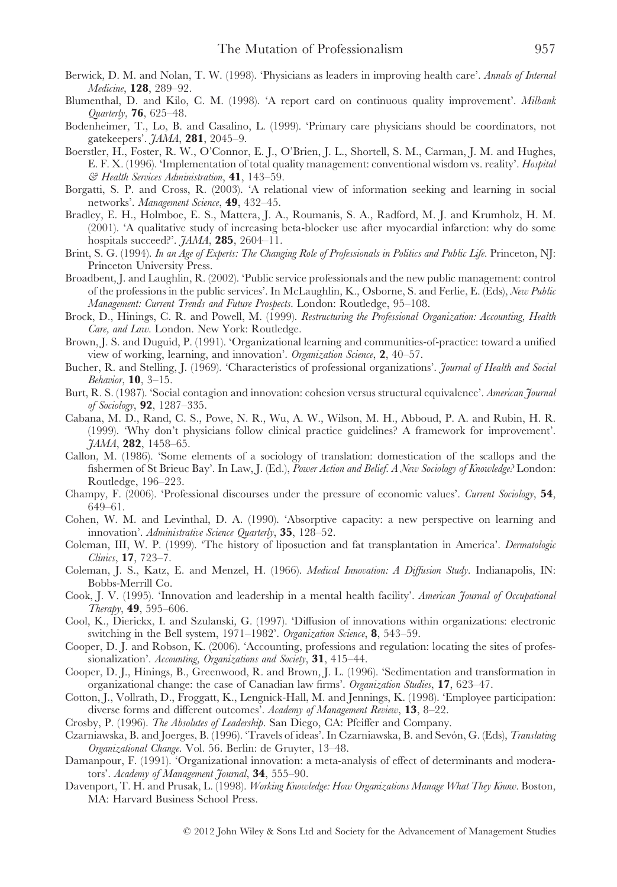- Berwick, D. M. and Nolan, T. W. (1998). 'Physicians as leaders in improving health care'. *Annals of Internal Medicine*, **128**, 289–92.
- Blumenthal, D. and Kilo, C. M. (1998). 'A report card on continuous quality improvement'. *Milbank Quarterly*, **76**, 625–48.
- Bodenheimer, T., Lo, B. and Casalino, L. (1999). 'Primary care physicians should be coordinators, not gatekeepers'. *JAMA*, **281**, 2045–9.
- Boerstler, H., Foster, R. W., O'Connor, E. J., O'Brien, J. L., Shortell, S. M., Carman, J. M. and Hughes, E. F. X. (1996). 'Implementation of total quality management: conventional wisdom vs. reality'. *Hospital & Health Services Administration*, **41**, 143–59.
- Borgatti, S. P. and Cross, R. (2003). 'A relational view of information seeking and learning in social networks'. *Management Science*, **49**, 432–45.
- Bradley, E. H., Holmboe, E. S., Mattera, J. A., Roumanis, S. A., Radford, M. J. and Krumholz, H. M. (2001). 'A qualitative study of increasing beta-blocker use after myocardial infarction: why do some hospitals succeed?'. *JAMA*, **285**, 2604–11.
- Brint, S. G. (1994). *In an Age of Experts: The Changing Role of Professionals in Politics and Public Life*. Princeton, NJ: Princeton University Press.
- Broadbent, J. and Laughlin, R. (2002). 'Public service professionals and the new public management: control of the professions in the public services'. In McLaughlin, K., Osborne, S. and Ferlie, E. (Eds), *New Public Management: Current Trends and Future Prospects*. London: Routledge, 95–108.
- Brock, D., Hinings, C. R. and Powell, M. (1999). *Restructuring the Professional Organization: Accounting, Health Care, and Law*. London. New York: Routledge.
- Brown, J. S. and Duguid, P. (1991). 'Organizational learning and communities-of-practice: toward a unified view of working, learning, and innovation'. *Organization Science*, **2**, 40–57.
- Bucher, R. and Stelling, J. (1969). 'Characteristics of professional organizations'. *Journal of Health and Social Behavior*, **10**, 3–15.
- Burt, R. S. (1987). 'Social contagion and innovation: cohesion versus structural equivalence'. *American Journal of Sociology*, **92**, 1287–335.
- Cabana, M. D., Rand, C. S., Powe, N. R., Wu, A. W., Wilson, M. H., Abboud, P. A. and Rubin, H. R. (1999). 'Why don't physicians follow clinical practice guidelines? A framework for improvement'. *JAMA*, **282**, 1458–65.
- Callon, M. (1986). 'Some elements of a sociology of translation: domestication of the scallops and the fishermen of St Brieuc Bay'. In Law, J. (Ed.), *Power Action and Belief. A New Sociology of Knowledge?* London: Routledge, 196–223.
- Champy, F. (2006). 'Professional discourses under the pressure of economic values'. *Current Sociology*, **54**, 649–61.
- Cohen, W. M. and Levinthal, D. A. (1990). 'Absorptive capacity: a new perspective on learning and innovation'. *Administrative Science Quarterly*, **35**, 128–52.
- Coleman, III, W. P. (1999). 'The history of liposuction and fat transplantation in America'. *Dermatologic Clinics*, **17**, 723–7.
- Coleman, J. S., Katz, E. and Menzel, H. (1966). *Medical Innovation: A Diffusion Study*. Indianapolis, IN: Bobbs-Merrill Co.
- Cook, J. V. (1995). 'Innovation and leadership in a mental health facility'. *American Journal of Occupational Therapy*, **49**, 595–606.
- Cool, K., Dierickx, I. and Szulanski, G. (1997). 'Diffusion of innovations within organizations: electronic switching in the Bell system, 1971–1982'. *Organization Science*, **8**, 543–59.
- Cooper, D. J. and Robson, K. (2006). 'Accounting, professions and regulation: locating the sites of professionalization'. *Accounting, Organizations and Society*, **31**, 415–44.
- Cooper, D. J., Hinings, B., Greenwood, R. and Brown, J. L. (1996). 'Sedimentation and transformation in organizational change: the case of Canadian law firms'. *Organization Studies*, **17**, 623–47.
- Cotton, J., Vollrath, D., Froggatt, K., Lengnick-Hall, M. and Jennings, K. (1998). 'Employee participation: diverse forms and different outcomes'. *Academy of Management Review*, **13**, 8–22.
- Crosby, P. (1996). *The Absolutes of Leadership*. San Diego, CA: Pfeiffer and Company.
- Czarniawska, B. and Joerges, B. (1996). 'Travels of ideas'. In Czarniawska, B. and Sevón, G. (Eds), *Translating Organizational Change*. Vol. 56. Berlin: de Gruyter, 13–48.
- Damanpour, F. (1991). 'Organizational innovation: a meta-analysis of effect of determinants and moderators'. *Academy of Management Journal*, **34**, 555–90.
- Davenport, T. H. and Prusak, L. (1998). *Working Knowledge: How Organizations Manage What They Know*. Boston, MA: Harvard Business School Press.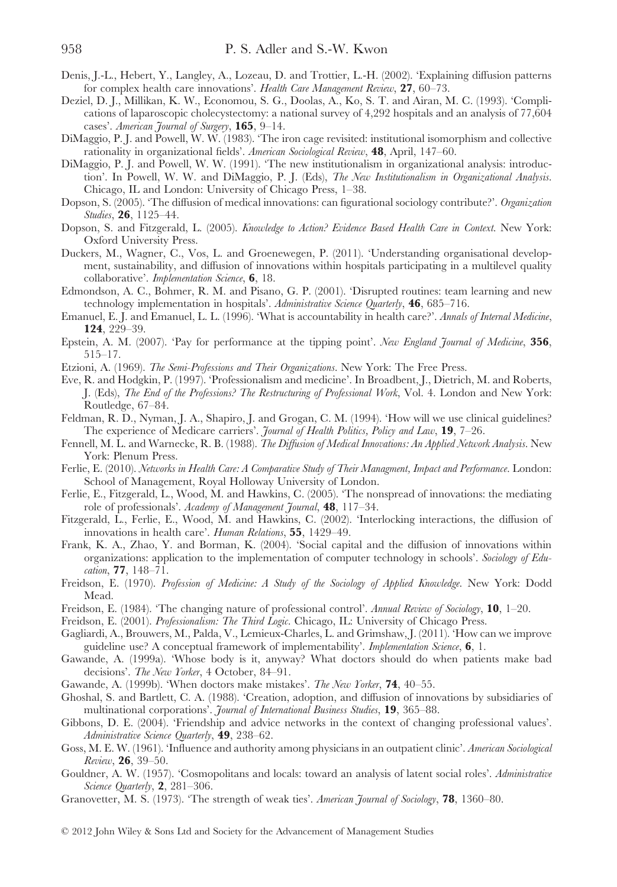- Denis, J.-L., Hebert, Y., Langley, A., Lozeau, D. and Trottier, L.-H. (2002). 'Explaining diffusion patterns for complex health care innovations'. *Health Care Management Review*, **27**, 60–73.
- Deziel, D. J., Millikan, K. W., Economou, S. G., Doolas, A., Ko, S. T. and Airan, M. C. (1993). 'Complications of laparoscopic cholecystectomy: a national survey of 4,292 hospitals and an analysis of 77,604 cases'. *American Journal of Surgery*, **165**, 9–14.
- DiMaggio, P. J. and Powell, W. W. (1983). 'The iron cage revisited: institutional isomorphism and collective rationality in organizational fields'. *American Sociological Review*, **48**, April, 147–60.
- DiMaggio, P. J. and Powell, W. W. (1991). 'The new institutionalism in organizational analysis: introduction'. In Powell, W. W. and DiMaggio, P. J. (Eds), *The New Institutionalism in Organizational Analysis*. Chicago, IL and London: University of Chicago Press, 1–38.
- Dopson, S. (2005). 'The diffusion of medical innovations: can figurational sociology contribute?'. *Organization Studies*, **26**, 1125–44.
- Dopson, S. and Fitzgerald, L. (2005). *Knowledge to Action? Evidence Based Health Care in Context*. New York: Oxford University Press.
- Duckers, M., Wagner, C., Vos, L. and Groenewegen, P. (2011). 'Understanding organisational development, sustainability, and diffusion of innovations within hospitals participating in a multilevel quality collaborative'. *Implementation Science*, **6**, 18.
- Edmondson, A. C., Bohmer, R. M. and Pisano, G. P. (2001). 'Disrupted routines: team learning and new technology implementation in hospitals'. *Administrative Science Quarterly*, **46**, 685–716.
- Emanuel, E. J. and Emanuel, L. L. (1996). 'What is accountability in health care?'. *Annals of Internal Medicine*, **124**, 229–39.
- Epstein, A. M. (2007). 'Pay for performance at the tipping point'. *New England Journal of Medicine*, **356**, 515–17.
- Etzioni, A. (1969). *The Semi-Professions and Their Organizations*. New York: The Free Press.
- Eve, R. and Hodgkin, P. (1997). 'Professionalism and medicine'. In Broadbent, J., Dietrich, M. and Roberts, J. (Eds), *The End of the Professions? The Restructuring of Professional Work*, Vol. 4. London and New York: Routledge, 67–84.
- Feldman, R. D., Nyman, J. A., Shapiro, J. and Grogan, C. M. (1994). 'How will we use clinical guidelines? The experience of Medicare carriers'. *Journal of Health Politics, Policy and Law*, **19**, 7–26.
- Fennell, M. L. and Warnecke, R. B. (1988). *The Diffusion of Medical Innovations: An Applied Network Analysis*. New York: Plenum Press.
- Ferlie, E. (2010). *Networks in Health Care: A Comparative Study of Their Managment, Impact and Performance*. London: School of Management, Royal Holloway University of London.
- Ferlie, E., Fitzgerald, L., Wood, M. and Hawkins, C. (2005). 'The nonspread of innovations: the mediating role of professionals'. *Academy of Management Journal*, **48**, 117–34.
- Fitzgerald, L., Ferlie, E., Wood, M. and Hawkins, C. (2002). 'Interlocking interactions, the diffusion of innovations in health care'. *Human Relations*, **55**, 1429–49.
- Frank, K. A., Zhao, Y. and Borman, K. (2004). 'Social capital and the diffusion of innovations within organizations: application to the implementation of computer technology in schools'. *Sociology of Education*, **77**, 148–71.
- Freidson, E. (1970). *Profession of Medicine: A Study of the Sociology of Applied Knowledge*. New York: Dodd Mead.
- Freidson, E. (1984). 'The changing nature of professional control'. *Annual Review of Sociology*, **10**, 1–20.
- Freidson, E. (2001). *Professionalism: The Third Logic*. Chicago, IL: University of Chicago Press.
- Gagliardi, A., Brouwers, M., Palda, V., Lemieux-Charles, L. and Grimshaw, J. (2011). 'How can we improve guideline use? A conceptual framework of implementability'. *Implementation Science*, **6**, 1.
- Gawande, A. (1999a). 'Whose body is it, anyway? What doctors should do when patients make bad decisions'. *The New Yorker*, 4 October, 84–91.
- Gawande, A. (1999b). 'When doctors make mistakes'. *The New Yorker*, **74**, 40–55.
- Ghoshal, S. and Bartlett, C. A. (1988). 'Creation, adoption, and diffusion of innovations by subsidiaries of multinational corporations'. *Journal of International Business Studies*, **19**, 365–88.
- Gibbons, D. E. (2004). 'Friendship and advice networks in the context of changing professional values'. *Administrative Science Quarterly*, **49**, 238–62.
- Goss, M. E. W. (1961). 'Influence and authority among physicians in an outpatient clinic'. *American Sociological Review*, **26**, 39–50.
- Gouldner, A. W. (1957). 'Cosmopolitans and locals: toward an analysis of latent social roles'. *Administrative Science Quarterly*, **2**, 281–306.
- Granovetter, M. S. (1973). 'The strength of weak ties'. *American Journal of Sociology*, **78**, 1360–80.

<sup>© 2012</sup> John Wiley & Sons Ltd and Society for the Advancement of Management Studies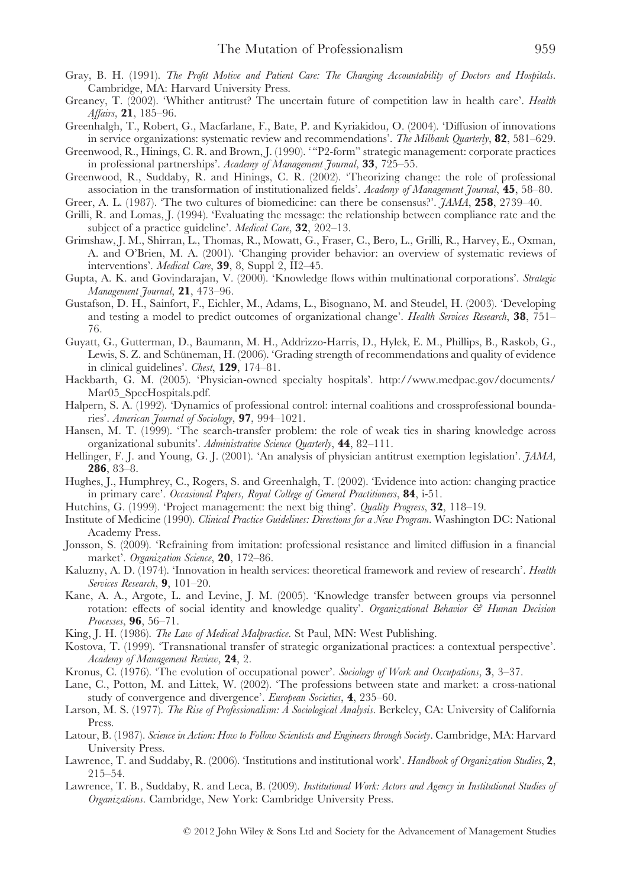- Gray, B. H. (1991). *The Profit Motive and Patient Care: The Changing Accountability of Doctors and Hospitals*. Cambridge, MA: Harvard University Press.
- Greaney, T. (2002). 'Whither antitrust? The uncertain future of competition law in health care'. *Health Affairs*, **21**, 185–96.
- Greenhalgh, T., Robert, G., Macfarlane, F., Bate, P. and Kyriakidou, O. (2004). 'Diffusion of innovations in service organizations: systematic review and recommendations'. *The Milbank Quarterly*, **82**, 581–629.
- Greenwood, R., Hinings, C. R. and Brown, J. (1990). '"P2-form" strategic management: corporate practices in professional partnerships'. *Academy of Management Journal*, **33**, 725–55.
- Greenwood, R., Suddaby, R. and Hinings, C. R. (2002). 'Theorizing change: the role of professional association in the transformation of institutionalized fields'. *Academy of Management Journal*, **45**, 58–80.
- Greer, A. L. (1987). 'The two cultures of biomedicine: can there be consensus?'. *JAMA*, **258**, 2739–40.
- Grilli, R. and Lomas, J. (1994). 'Evaluating the message: the relationship between compliance rate and the subject of a practice guideline'. *Medical Care*, **32**, 202–13.
- Grimshaw, J. M., Shirran, L., Thomas, R., Mowatt, G., Fraser, C., Bero, L., Grilli, R., Harvey, E., Oxman, A. and O'Brien, M. A. (2001). 'Changing provider behavior: an overview of systematic reviews of interventions'. *Medical Care*, **39**, 8, Suppl 2, II2–45.
- Gupta, A. K. and Govindarajan, V. (2000). 'Knowledge flows within multinational corporations'. *Strategic Management Journal*, **21**, 473–96.
- Gustafson, D. H., Sainfort, F., Eichler, M., Adams, L., Bisognano, M. and Steudel, H. (2003). 'Developing and testing a model to predict outcomes of organizational change'. *Health Services Research*, **38**, 751– 76.
- Guyatt, G., Gutterman, D., Baumann, M. H., Addrizzo-Harris, D., Hylek, E. M., Phillips, B., Raskob, G., Lewis, S. Z. and Schüneman, H. (2006). 'Grading strength of recommendations and quality of evidence in clinical guidelines'. *Chest*, **129**, 174–81.
- Hackbarth, G. M. (2005). 'Physician-owned specialty hospitals'. http://www.medpac.gov/documents/ Mar05\_SpecHospitals.pdf.
- Halpern, S. A. (1992). 'Dynamics of professional control: internal coalitions and crossprofessional boundaries'. *American Journal of Sociology*, **97**, 994–1021.
- Hansen, M. T. (1999). 'The search-transfer problem: the role of weak ties in sharing knowledge across organizational subunits'. *Administrative Science Quarterly*, **44**, 82–111.
- Hellinger, F. J. and Young, G. J. (2001). 'An analysis of physician antitrust exemption legislation'. *JAMA*, **286**, 83–8.
- Hughes, J., Humphrey, C., Rogers, S. and Greenhalgh, T. (2002). 'Evidence into action: changing practice in primary care'. *Occasional Papers, Royal College of General Practitioners*, **84**, i-51.
- Hutchins, G. (1999). 'Project management: the next big thing'. *Quality Progress*, **32**, 118–19.
- Institute of Medicine (1990). *Clinical Practice Guidelines: Directions for a New Program*. Washington DC: National Academy Press.
- Jonsson, S. (2009). 'Refraining from imitation: professional resistance and limited diffusion in a financial market'. *Organization Science*, **20**, 172–86.
- Kaluzny, A. D. (1974). 'Innovation in health services: theoretical framework and review of research'. *Health Services Research*, **9**, 101–20.
- Kane, A. A., Argote, L. and Levine, J. M. (2005). 'Knowledge transfer between groups via personnel rotation: effects of social identity and knowledge quality'. *Organizational Behavior & Human Decision Processes*, **96**, 56–71.
- King, J. H. (1986). *The Law of Medical Malpractice*. St Paul, MN: West Publishing.
- Kostova, T. (1999). 'Transnational transfer of strategic organizational practices: a contextual perspective'. *Academy of Management Review*, **24**, 2.
- Kronus, C. (1976). 'The evolution of occupational power'. *Sociology of Work and Occupations*, **3**, 3–37.
- Lane, C., Potton, M. and Littek, W. (2002). 'The professions between state and market: a cross-national study of convergence and divergence'. *European Societies*, **4**, 235–60.
- Larson, M. S. (1977). *The Rise of Professionalism: A Sociological Analysis*. Berkeley, CA: University of California Press.
- Latour, B. (1987). *Science in Action: How to Follow Scientists and Engineers through Society*. Cambridge, MA: Harvard University Press.
- Lawrence, T. and Suddaby, R. (2006). 'Institutions and institutional work'. *Handbook of Organization Studies*, **2**, 215–54.
- Lawrence, T. B., Suddaby, R. and Leca, B. (2009). *Institutional Work: Actors and Agency in Institutional Studies of Organizations*. Cambridge, New York: Cambridge University Press.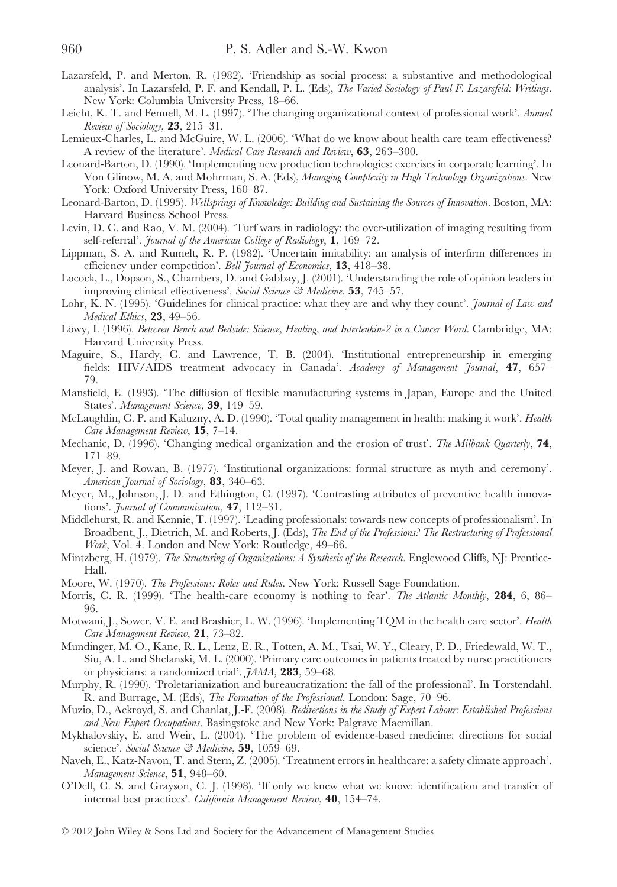- Lazarsfeld, P. and Merton, R. (1982). 'Friendship as social process: a substantive and methodological analysis'. In Lazarsfeld, P. F. and Kendall, P. L. (Eds), *The Varied Sociology of Paul F. Lazarsfeld: Writings*. New York: Columbia University Press, 18–66.
- Leicht, K. T. and Fennell, M. L. (1997). 'The changing organizational context of professional work'. *Annual Review of Sociology*, **23**, 215–31.
- Lemieux-Charles, L. and McGuire, W. L. (2006). 'What do we know about health care team effectiveness? A review of the literature'. *Medical Care Research and Review*, **63**, 263–300.
- Leonard-Barton, D. (1990). 'Implementing new production technologies: exercises in corporate learning'. In Von Glinow, M. A. and Mohrman, S. A. (Eds), *Managing Complexity in High Technology Organizations*. New York: Oxford University Press, 160–87.
- Leonard-Barton, D. (1995). *Wellsprings of Knowledge: Building and Sustaining the Sources of Innovation*. Boston, MA: Harvard Business School Press.
- Levin, D. C. and Rao, V. M. (2004). 'Turf wars in radiology: the over-utilization of imaging resulting from self-referral'. *Journal of the American College of Radiology*, **1**, 169–72.
- Lippman, S. A. and Rumelt, R. P. (1982). 'Uncertain imitability: an analysis of interfirm differences in efficiency under competition'. *Bell Journal of Economics*, **13**, 418–38.
- Locock, L., Dopson, S., Chambers, D. and Gabbay, J. (2001). 'Understanding the role of opinion leaders in improving clinical effectiveness'. *Social Science & Medicine*, **53**, 745–57.
- Lohr, K. N. (1995). 'Guidelines for clinical practice: what they are and why they count'. *Journal of Law and Medical Ethics*, **23**, 49–56.
- Löwy, I. (1996). *Between Bench and Bedside: Science, Healing, and Interleukin-2 in a Cancer Ward*. Cambridge, MA: Harvard University Press.
- Maguire, S., Hardy, C. and Lawrence, T. B. (2004). 'Institutional entrepreneurship in emerging fields: HIV/AIDS treatment advocacy in Canada'. *Academy of Management Journal*, **47**, 657– 79.
- Mansfield, E. (1993). 'The diffusion of flexible manufacturing systems in Japan, Europe and the United States'. *Management Science*, **39**, 149–59.
- McLaughlin, C. P. and Kaluzny, A. D. (1990). 'Total quality management in health: making it work'. *Health Care Management Review*, **15**, 7–14.
- Mechanic, D. (1996). 'Changing medical organization and the erosion of trust'. *The Milbank Quarterly*, **74**, 171–89.
- Meyer, J. and Rowan, B. (1977). 'Institutional organizations: formal structure as myth and ceremony'. *American Journal of Sociology*, **83**, 340–63.
- Meyer, M., Johnson, J. D. and Ethington, C. (1997). 'Contrasting attributes of preventive health innovations'. *Journal of Communication*, **47**, 112–31.
- Middlehurst, R. and Kennie, T. (1997). 'Leading professionals: towards new concepts of professionalism'. In Broadbent, J., Dietrich, M. and Roberts, J. (Eds), *The End of the Professions? The Restructuring of Professional Work*, Vol. 4. London and New York: Routledge, 49–66.
- Mintzberg, H. (1979). *The Structuring of Organizations: A Synthesis of the Research*. Englewood Cliffs, NJ: Prentice-Hall.
- Moore, W. (1970). *The Professions: Roles and Rules*. New York: Russell Sage Foundation.
- Morris, C. R. (1999). 'The health-care economy is nothing to fear'. *The Atlantic Monthly*, **284**, 6, 86– 96.
- Motwani, J., Sower, V. E. and Brashier, L. W. (1996). 'Implementing TQM in the health care sector'. *Health Care Management Review*, **21**, 73–82.
- Mundinger, M. O., Kane, R. L., Lenz, E. R., Totten, A. M., Tsai, W. Y., Cleary, P. D., Friedewald, W. T., Siu, A. L. and Shelanski, M. L. (2000). 'Primary care outcomes in patients treated by nurse practitioners or physicians: a randomized trial'. *JAMA*, **283**, 59–68.
- Murphy, R. (1990). 'Proletarianization and bureaucratization: the fall of the professional'. In Torstendahl, R. and Burrage, M. (Eds), *The Formation of the Professional*. London: Sage, 70–96.
- Muzio, D., Ackroyd, S. and Chanlat, J.-F. (2008). *Redirections in the Study of Expert Labour: Established Professions and New Expert Occupations*. Basingstoke and New York: Palgrave Macmillan.
- Mykhalovskiy, E. and Weir, L. (2004). 'The problem of evidence-based medicine: directions for social science'. *Social Science & Medicine*, **59**, 1059–69.
- Naveh, E., Katz-Navon, T. and Stern, Z. (2005). 'Treatment errors in healthcare: a safety climate approach'. *Management Science*, **51**, 948–60.
- O'Dell, C. S. and Grayson, C. J. (1998). 'If only we knew what we know: identification and transfer of internal best practices'. *California Management Review*, **40**, 154–74.

© 2012 John Wiley & Sons Ltd and Society for the Advancement of Management Studies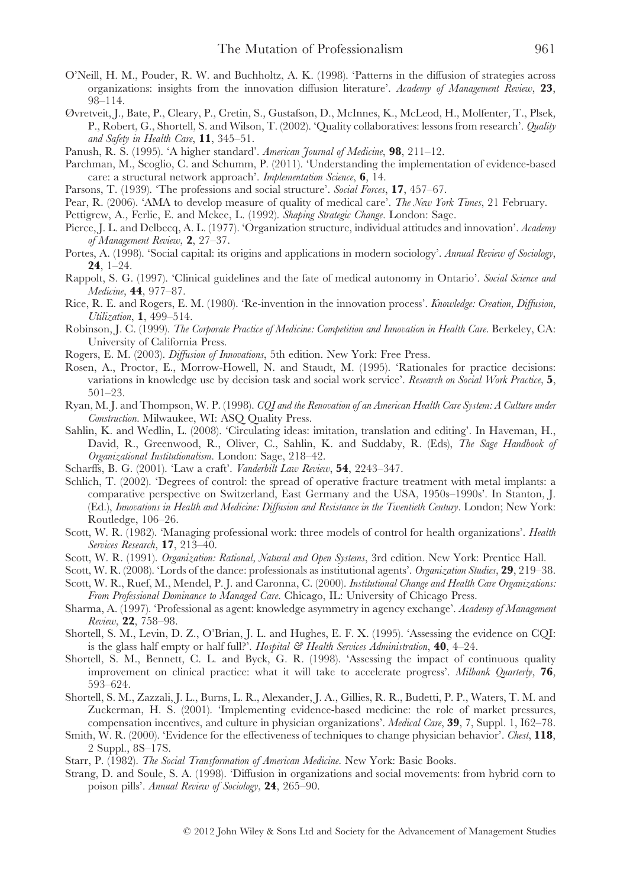- O'Neill, H. M., Pouder, R. W. and Buchholtz, A. K. (1998). 'Patterns in the diffusion of strategies across organizations: insights from the innovation diffusion literature'. *Academy of Management Review*, **23**, 98–114.
- Øvretveit, J., Bate, P., Cleary, P., Cretin, S., Gustafson, D., McInnes, K., McLeod, H., Molfenter, T., Plsek, P., Robert, G., Shortell, S. and Wilson, T. (2002). 'Quality collaboratives: lessons from research'. *Quality and Safety in Health Care*, **11**, 345–51.
- Panush, R. S. (1995). 'A higher standard'. *American Journal of Medicine*, **98**, 211–12.
- Parchman, M., Scoglio, C. and Schumm, P. (2011). 'Understanding the implementation of evidence-based care: a structural network approach'. *Implementation Science*, **6**, 14.
- Parsons, T. (1939). 'The professions and social structure'. *Social Forces*, **17**, 457–67.
- Pear, R. (2006). 'AMA to develop measure of quality of medical care'. *The New York Times*, 21 February.
- Pettigrew, A., Ferlie, E. and Mckee, L. (1992). *Shaping Strategic Change*. London: Sage.
- Pierce, J. L. and Delbecq, A. L. (1977). 'Organization structure, individual attitudes and innovation'. *Academy of Management Review*, **2**, 27–37.
- Portes, A. (1998). 'Social capital: its origins and applications in modern sociology'. *Annual Review of Sociology*, **24**, 1–24.
- Rappolt, S. G. (1997). 'Clinical guidelines and the fate of medical autonomy in Ontario'. *Social Science and Medicine*, **44**, 977–87.
- Rice, R. E. and Rogers, E. M. (1980). 'Re-invention in the innovation process'. *Knowledge: Creation, Diffusion, Utilization*, **1**, 499–514.
- Robinson, J. C. (1999). *The Corporate Practice of Medicine: Competition and Innovation in Health Care*. Berkeley, CA: University of California Press.
- Rogers, E. M. (2003). *Diffusion of Innovations*, 5th edition. New York: Free Press.
- Rosen, A., Proctor, E., Morrow-Howell, N. and Staudt, M. (1995). 'Rationales for practice decisions: variations in knowledge use by decision task and social work service'. *Research on Social Work Practice*, **5**, 501–23.
- Ryan, M. J. and Thompson, W. P. (1998). *CQI and the Renovation of an American Health Care System: A Culture under Construction*. Milwaukee, WI: ASQ Quality Press.
- Sahlin, K. and Wedlin, L. (2008). 'Circulating ideas: imitation, translation and editing'. In Haveman, H., David, R., Greenwood, R., Oliver, C., Sahlin, K. and Suddaby, R. (Eds), *The Sage Handbook of Organizational Institutionalism*. London: Sage, 218–42.
- Scharffs, B. G. (2001). 'Law a craft'. *Vanderbilt Law Review*, **54**, 2243–347.
- Schlich, T. (2002). 'Degrees of control: the spread of operative fracture treatment with metal implants: a comparative perspective on Switzerland, East Germany and the USA, 1950s–1990s'. In Stanton, J. (Ed.), *Innovations in Health and Medicine: Diffusion and Resistance in the Twentieth Century*. London; New York: Routledge, 106–26.
- Scott, W. R. (1982). 'Managing professional work: three models of control for health organizations'. *Health Services Research*, **17**, 213–40.
- Scott, W. R. (1991). *Organization: Rational, Natural and Open Systems*, 3rd edition. New York: Prentice Hall.
- Scott, W. R. (2008). 'Lords of the dance: professionals as institutional agents'. *Organization Studies*, **29**, 219–38.
- Scott, W. R., Ruef, M., Mendel, P. J. and Caronna, C. (2000). *Institutional Change and Health Care Organizations: From Professional Dominance to Managed Care*. Chicago, IL: University of Chicago Press.
- Sharma, A. (1997). 'Professional as agent: knowledge asymmetry in agency exchange'. *Academy of Management Review*, **22**, 758–98.
- Shortell, S. M., Levin, D. Z., O'Brian, J. L. and Hughes, E. F. X. (1995). 'Assessing the evidence on CQI: is the glass half empty or half full?'. *Hospital & Health Services Administration*, **40**, 4–24.
- Shortell, S. M., Bennett, C. L. and Byck, G. R. (1998). 'Assessing the impact of continuous quality improvement on clinical practice: what it will take to accelerate progress'. *Milbank Quarterly*, **76**, 593–624.
- Shortell, S. M., Zazzali, J. L., Burns, L. R., Alexander, J. A., Gillies, R. R., Budetti, P. P., Waters, T. M. and Zuckerman, H. S. (2001). 'Implementing evidence-based medicine: the role of market pressures, compensation incentives, and culture in physician organizations'. *Medical Care*, **39**, 7, Suppl. 1, I62–78.
- Smith, W. R. (2000). 'Evidence for the effectiveness of techniques to change physician behavior'. *Chest*, **118**, 2 Suppl., 8S–17S.
- Starr, P. (1982). *The Social Transformation of American Medicine*. New York: Basic Books.
- Strang, D. and Soule, S. A. (1998). 'Diffusion in organizations and social movements: from hybrid corn to poison pills'. *Annual Review of Sociology*, **24**, 265–90.